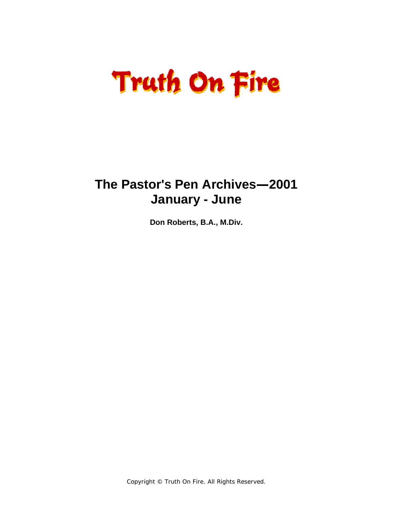# **Truth On Fire**

### **The Pastor's Pen Archives—2001 January - June**

**Don Roberts, B.A., M.Div.** 

Copyright © Truth On Fire. All Rights Reserved.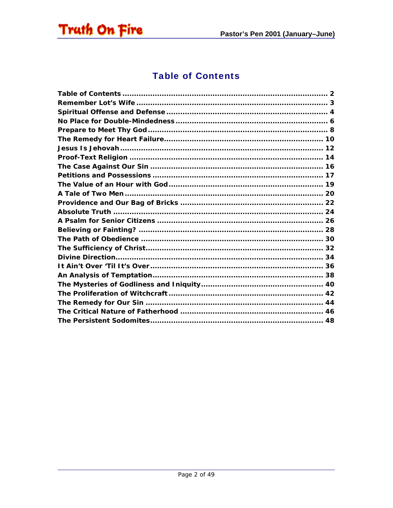<span id="page-1-0"></span>

#### **Table of Contents**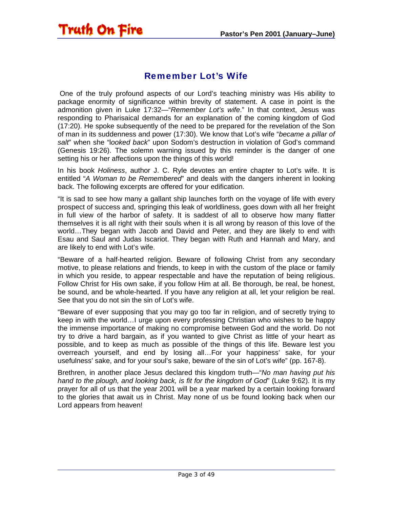#### Remember Lot's Wife

<span id="page-2-0"></span>Truth On Fire

 One of the truly profound aspects of our Lord's teaching ministry was His ability to package enormity of significance within brevity of statement. A case in point is the admonition given in Luke 17:32—"*Remember Lot's wife*." In that context, Jesus was responding to Pharisaical demands for an explanation of the coming kingdom of God (17:20). He spoke subsequently of the need to be prepared for the revelation of the Son of man in its suddenness and power (17:30). We know that Lot's wife "*became a pillar of salt*" when she "l*ooked back*" upon Sodom's destruction in violation of God's command (Genesis 19:26). The solemn warning issued by this reminder is the danger of one setting his or her affections upon the things of this world!

In his book *Holiness*, author J. C. Ryle devotes an entire chapter to Lot's wife. It is entitled "*A Woman to be Remembered*" and deals with the dangers inherent in looking back. The following excerpts are offered for your edification.

"It is sad to see how many a gallant ship launches forth on the voyage of life with every prospect of success and, springing this leak of worldliness, goes down with all her freight in full view of the harbor of safety. It is saddest of all to observe how many flatter themselves it is all right with their souls when it is all wrong by reason of this love of the world…They began with Jacob and David and Peter, and they are likely to end with Esau and Saul and Judas Iscariot. They began with Ruth and Hannah and Mary, and are likely to end with Lot's wife.

"Beware of a half-hearted religion. Beware of following Christ from any secondary motive, to please relations and friends, to keep in with the custom of the place or family in which you reside, to appear respectable and have the reputation of being religious. Follow Christ for His own sake, if you follow Him at all. Be thorough, be real, be honest, be sound, and be whole-hearted. If you have any religion at all, let your religion be real. See that you do not sin the sin of Lot's wife.

"Beware of ever supposing that you may go too far in religion, and of secretly trying to keep in with the world…I urge upon every professing Christian who wishes to be happy the immense importance of making no compromise between God and the world. Do not try to drive a hard bargain, as if you wanted to give Christ as little of your heart as possible, and to keep as much as possible of the things of this life. Beware lest you overreach yourself, and end by losing all…For your happiness' sake, for your usefulness' sake, and for your soul's sake, beware of the sin of Lot's wife" (pp. 167-8).

Brethren, in another place Jesus declared this kingdom truth—"*No man having put his hand to the plough, and looking back, is fit for the kingdom of God*" (Luke 9:62). It is my prayer for all of us that the year 2001 will be a year marked by a certain looking forward to the glories that await us in Christ. May none of us be found looking back when our Lord appears from heaven!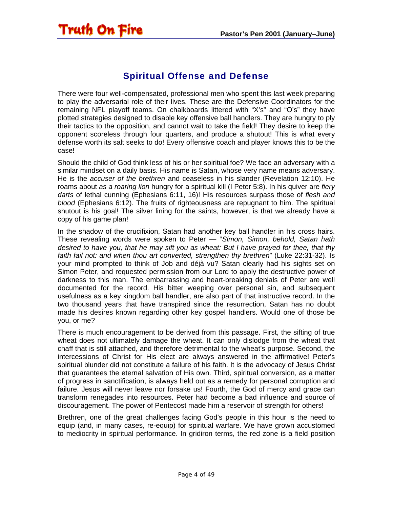#### Spiritual Offense and Defense

<span id="page-3-0"></span>There were four well-compensated, professional men who spent this last week preparing to play the adversarial role of their lives. These are the Defensive Coordinators for the remaining NFL playoff teams. On chalkboards littered with "X's" and "O's" they have plotted strategies designed to disable key offensive ball handlers. They are hungry to ply their tactics to the opposition, and cannot wait to take the field! They desire to keep the opponent scoreless through four quarters, and produce a shutout! This is what every defense worth its salt seeks to do! Every offensive coach and player knows this to be the case!

Should the child of God think less of his or her spiritual foe? We face an adversary with a similar mindset on a daily basis. His name is Satan, whose very name means adversary. He is the *accuser of the brethren* and ceaseless in his slander (Revelation 12:10). He roams about *as a roaring lion* hungry for a spiritual kill (I Peter 5:8). In his quiver are *fiery darts* of lethal cunning (Ephesians 6:11, 16)! His resources surpass those of *flesh and blood* (Ephesians 6:12). The fruits of righteousness are repugnant to him. The spiritual shutout is his goal! The silver lining for the saints, however, is that we already have a copy of his game plan!

In the shadow of the crucifixion, Satan had another key ball handler in his cross hairs. These revealing words were spoken to Peter — "*Simon, Simon, behold, Satan hath desired to have you, that he may sift you as wheat: But I have prayed for thee, that thy faith fail not: and when thou art converted, strengthen thy brethren*" (Luke 22:31-32). Is your mind prompted to think of Job and déjà vu? Satan clearly had his sights set on Simon Peter, and requested permission from our Lord to apply the destructive power of darkness to this man. The embarrassing and heart-breaking denials of Peter are well documented for the record. His bitter weeping over personal sin, and subsequent usefulness as a key kingdom ball handler, are also part of that instructive record. In the two thousand years that have transpired since the resurrection, Satan has no doubt made his desires known regarding other key gospel handlers. Would one of those be you, or me?

There is much encouragement to be derived from this passage. First, the sifting of true wheat does not ultimately damage the wheat. It can only dislodge from the wheat that chaff that is still attached, and therefore detrimental to the wheat's purpose. Second, the intercessions of Christ for His elect are always answered in the affirmative! Peter's spiritual blunder did not constitute a failure of his faith. It is the advocacy of Jesus Christ that guarantees the eternal salvation of His own. Third, spiritual conversion, as a matter of progress in sanctification, is always held out as a remedy for personal corruption and failure. Jesus will never leave nor forsake us! Fourth, the God of mercy and grace can transform renegades into resources. Peter had become a bad influence and source of discouragement. The power of Pentecost made him a reservoir of strength for others!

Brethren, one of the great challenges facing God's people in this hour is the need to equip (and, in many cases, re-equip) for spiritual warfare. We have grown accustomed to mediocrity in spiritual performance. In gridiron terms, the red zone is a field position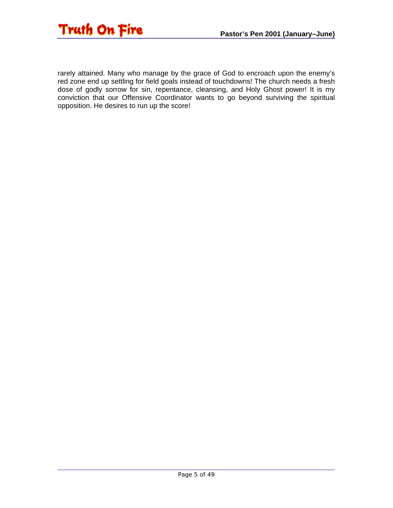

rarely attained. Many who manage by the grace of God to encroach upon the enemy's red zone end up settling for field goals instead of touchdowns! The church needs a fresh dose of godly sorrow for sin, repentance, cleansing, and Holy Ghost power! It is my conviction that our Offensive Coordinator wants to go beyond surviving the spiritual opposition. He desires to run up the score!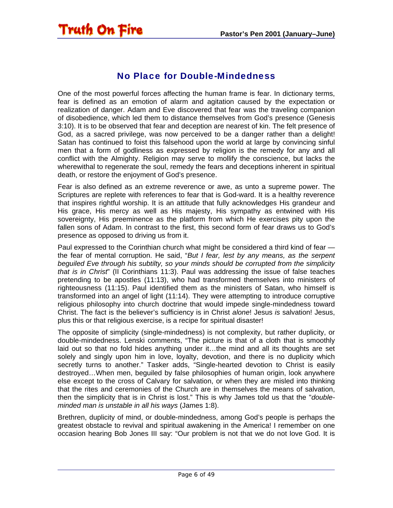<span id="page-5-0"></span>

#### No Place for Double-Mindedness

One of the most powerful forces affecting the human frame is fear. In dictionary terms, fear is defined as an emotion of alarm and agitation caused by the expectation or realization of danger. Adam and Eve discovered that fear was the traveling companion of disobedience, which led them to distance themselves from God's presence (Genesis 3:10). It is to be observed that fear and deception are nearest of kin. The felt presence of God, as a sacred privilege, was now perceived to be a danger rather than a delight! Satan has continued to foist this falsehood upon the world at large by convincing sinful men that a form of godliness as expressed by religion is the remedy for any and all conflict with the Almighty. Religion may serve to mollify the conscience, but lacks the wherewithal to regenerate the soul, remedy the fears and deceptions inherent in spiritual death, or restore the enjoyment of God's presence.

Fear is also defined as an extreme reverence or awe, as unto a supreme power. The Scriptures are replete with references to fear that is God-ward. It is a healthy reverence that inspires rightful worship. It is an attitude that fully acknowledges His grandeur and His grace, His mercy as well as His majesty, His sympathy as entwined with His sovereignty, His preeminence as the platform from which He exercises pity upon the fallen sons of Adam. In contrast to the first, this second form of fear draws us to God's presence as opposed to driving us from it.

Paul expressed to the Corinthian church what might be considered a third kind of fear the fear of mental corruption. He said, "*But I fear, lest by any means, as the serpent beguiled Eve through his subtilty, so your minds should be corrupted from the simplicity that is in Christ*" (II Corinthians 11:3). Paul was addressing the issue of false teaches pretending to be apostles (11:13), who had transformed themselves into ministers of righteousness (11:15). Paul identified them as the ministers of Satan, who himself is transformed into an angel of light (11:14). They were attempting to introduce corruptive religious philosophy into church doctrine that would impede single-mindedness toward Christ. The fact is the believer's sufficiency is in Christ *alone*! Jesus *is* salvation! Jesus, plus this or that religious exercise, is a recipe for spiritual disaster!

The opposite of simplicity (single-mindedness) is not complexity, but rather duplicity, or double-mindedness. Lenski comments, "The picture is that of a cloth that is smoothly laid out so that no fold hides anything under it…the mind and all its thoughts are set solely and singly upon him in love, loyalty, devotion, and there is no duplicity which secretly turns to another." Tasker adds, "Single-hearted devotion to Christ is easily destroyed…When men, beguiled by false philosophies of human origin, look anywhere else except to the cross of Calvary for salvation, or when they are misled into thinking that the rites and ceremonies of the Church are in themselves the means of salvation, then the simplicity that is in Christ is lost." This is why James told us that the "*doubleminded man is unstable in all his ways* (James 1:8).

Brethren, duplicity of mind, or double-mindedness, among God's people is perhaps the greatest obstacle to revival and spiritual awakening in the America! I remember on one occasion hearing Bob Jones III say: "Our problem is not that we do not love God. It is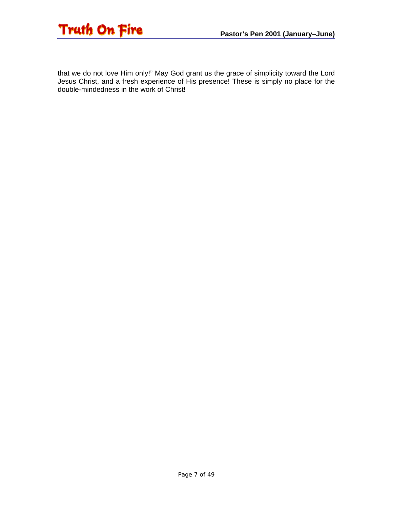

that we do not love Him only!" May God grant us the grace of simplicity toward the Lord Jesus Christ, and a fresh experience of His presence! These is simply no place for the double-mindedness in the work of Christ!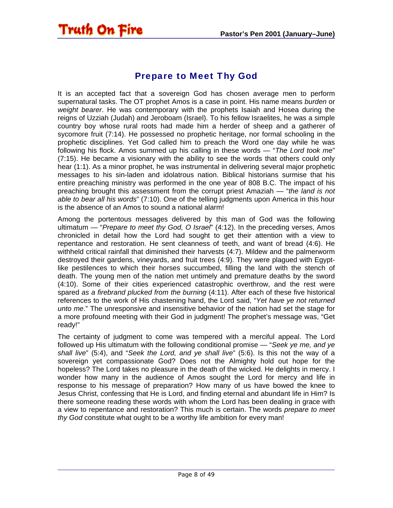#### Prepare to Meet Thy God

<span id="page-7-0"></span>**Truth On Fire** 

It is an accepted fact that a sovereign God has chosen average men to perform supernatural tasks. The OT prophet Amos is a case in point. His name means *burden* or *weight bearer*. He was contemporary with the prophets Isaiah and Hosea during the reigns of Uzziah (Judah) and Jeroboam (Israel). To his fellow Israelites, he was a simple country boy whose rural roots had made him a herder of sheep and a gatherer of sycomore fruit (7:14). He possessed no prophetic heritage, nor formal schooling in the prophetic disciplines. Yet God called him to preach the Word one day while he was following his flock. Amos summed up his calling in these words — "*The Lord took me*" (7:15). He became a visionary with the ability to see the words that others could only hear (1:1). As a minor prophet, he was instrumental in delivering several major prophetic messages to his sin-laden and idolatrous nation. Biblical historians surmise that his entire preaching ministry was performed in the one year of 808 B.C. The impact of his preaching brought this assessment from the corrupt priest Amaziah — "*the land is not able to bear all his words*" (7:10). One of the telling judgments upon America in this hour is the absence of an Amos to sound a national alarm!

Among the portentous messages delivered by this man of God was the following ultimatum — "*Prepare to meet thy God, O Israel*" (4:12). In the preceding verses, Amos chronicled in detail how the Lord had sought to get their attention with a view to repentance and restoration. He sent cleanness of teeth, and want of bread (4:6). He withheld critical rainfall that diminished their harvests (4:7). Mildew and the palmerworm destroyed their gardens, vineyards, and fruit trees (4:9). They were plagued with Egyptlike pestilences to which their horses succumbed, filling the land with the stench of death. The young men of the nation met untimely and premature deaths by the sword (4:10). Some of their cities experienced catastrophic overthrow, and the rest were spared *as a firebrand plucked from the burning* (4:11). After each of these five historical references to the work of His chastening hand, the Lord said, "*Yet have ye not returned unto me*." The unresponsive and insensitive behavior of the nation had set the stage for a more profound meeting with their God in judgment! The prophet's message was, "Get ready!"

The certainty of judgment to come was tempered with a merciful appeal. The Lord followed up His ultimatum with the following conditional promise — "*Seek ye me, and ye shall live*" (5:4), and "*Seek the Lord, and ye shall live*" (5:6). Is this not the way of a sovereign yet compassionate God? Does not the Almighty hold out hope for the hopeless? The Lord takes no pleasure in the death of the wicked. He delights in mercy. I wonder how many in the audience of Amos sought the Lord for mercy and life in response to his message of preparation? How many of us have bowed the knee to Jesus Christ, confessing that He is Lord, and finding eternal and abundant life in Him? Is there someone reading these words with whom the Lord has been dealing in grace with a view to repentance and restoration? This much is certain. The words *prepare to meet thy God* constitute what ought to be a worthy life ambition for every man!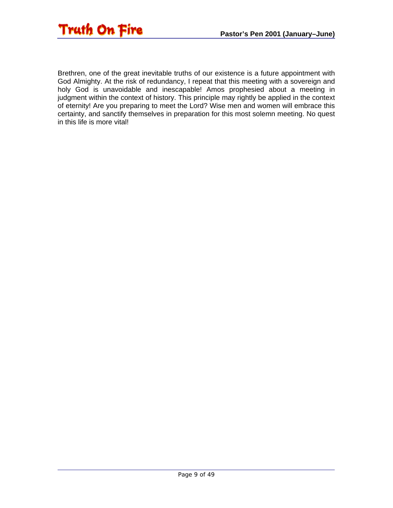

Brethren, one of the great inevitable truths of our existence is a future appointment with God Almighty. At the risk of redundancy, I repeat that this meeting with a sovereign and holy God is unavoidable and inescapable! Amos prophesied about a meeting in judgment within the context of history. This principle may rightly be applied in the context of eternity! Are you preparing to meet the Lord? Wise men and women will embrace this certainty, and sanctify themselves in preparation for this most solemn meeting. No quest in this life is more vital!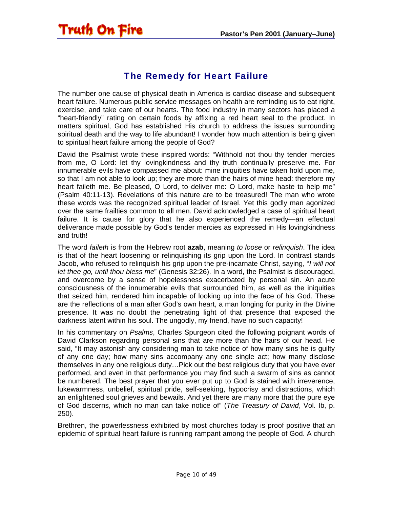#### The Remedy for Heart Failure

<span id="page-9-0"></span>The number one cause of physical death in America is cardiac disease and subsequent heart failure. Numerous public service messages on health are reminding us to eat right, exercise, and take care of our hearts. The food industry in many sectors has placed a "heart-friendly" rating on certain foods by affixing a red heart seal to the product. In matters spiritual, God has established His church to address the issues surrounding spiritual death and the way to life abundant! I wonder how much attention is being given to spiritual heart failure among the people of God?

David the Psalmist wrote these inspired words: "Withhold not thou thy tender mercies from me, O Lord: let thy lovingkindness and thy truth continually preserve me. For innumerable evils have compassed me about: mine iniquities have taken hold upon me, so that I am not able to look up; they are more than the hairs of mine head: therefore my heart faileth me. Be pleased, O Lord, to deliver me: O Lord, make haste to help me" (Psalm 40:11-13). Revelations of this nature are to be treasured! The man who wrote these words was the recognized spiritual leader of Israel. Yet this godly man agonized over the same frailties common to all men. David acknowledged a case of spiritual heart failure. It is cause for glory that he also experienced the remedy—an effectual deliverance made possible by God's tender mercies as expressed in His lovingkindness and truth!

The word *faileth* is from the Hebrew root **azab**, meaning *to loose* or *relinquish*. The idea is that of the heart loosening or relinquishing its grip upon the Lord. In contrast stands Jacob, who refused to relinquish his grip upon the pre-incarnate Christ, saying, "*I will not let thee go, until thou bless me*" (Genesis 32:26). In a word, the Psalmist is discouraged, and overcome by a sense of hopelessness exacerbated by personal sin. An acute consciousness of the innumerable evils that surrounded him, as well as the iniquities that seized him, rendered him incapable of looking up into the face of his God. These are the reflections of a man after God's own heart, a man longing for purity in the Divine presence. It was no doubt the penetrating light of that presence that exposed the darkness latent within his soul. The ungodly, my friend, have no such capacity!

In his commentary on *Psalms*, Charles Spurgeon cited the following poignant words of David Clarkson regarding personal sins that are more than the hairs of our head. He said, "It may astonish any considering man to take notice of how many sins he is guilty of any one day; how many sins accompany any one single act; how many disclose themselves in any one religious duty…Pick out the best religious duty that you have ever performed, and even in that performance you may find such a swarm of sins as cannot be numbered. The best prayer that you ever put up to God is stained with irreverence, lukewarmness, unbelief, spiritual pride, self-seeking, hypocrisy and distractions, which an enlightened soul grieves and bewails. And yet there are many more that the pure eye of God discerns, which no man can take notice of" (*The Treasury of David*, Vol. Ib, p. 250).

Brethren, the powerlessness exhibited by most churches today is proof positive that an epidemic of spiritual heart failure is running rampant among the people of God. A church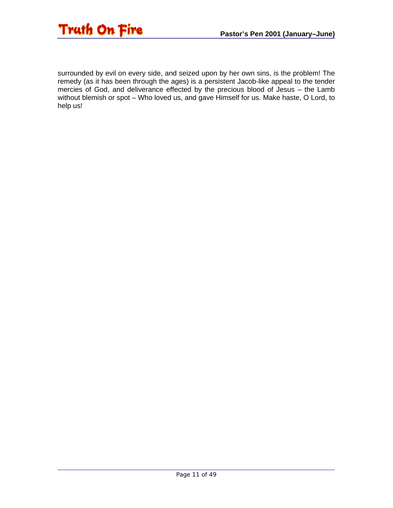

surrounded by evil on every side, and seized upon by her own sins, is the problem! The remedy (as it has been through the ages) is a persistent Jacob-like appeal to the tender mercies of God, and deliverance effected by the precious blood of Jesus – the Lamb without blemish or spot – Who loved us, and gave Himself for us. Make haste, O Lord, to help us!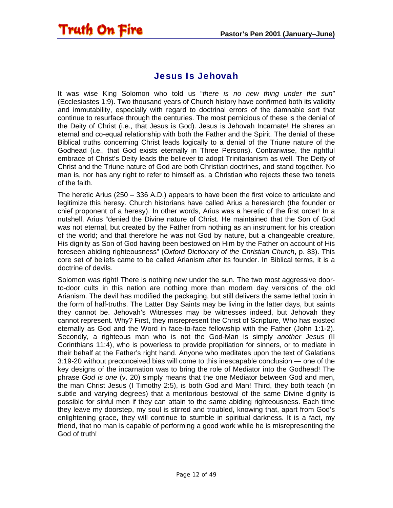# <span id="page-11-0"></span>**Truth On Fire**

#### Jesus Is Jehovah

It was wise King Solomon who told us "*there is no new thing under the sun*" (Ecclesiastes 1:9). Two thousand years of Church history have confirmed both its validity and immutability, especially with regard to doctrinal errors of the damnable sort that continue to resurface through the centuries. The most pernicious of these is the denial of the Deity of Christ (i.e., that Jesus is God). Jesus is Jehovah Incarnate! He shares an eternal and co-equal relationship with both the Father and the Spirit. The denial of these Biblical truths concerning Christ leads logically to a denial of the Triune nature of the Godhead (i.e., that God exists eternally in Three Persons). Contrariwise, the rightful embrace of Christ's Deity leads the believer to adopt Trinitarianism as well. The Deity of Christ and the Triune nature of God are both Christian doctrines, and stand together. No man is, nor has any right to refer to himself as, a Christian who rejects these two tenets of the faith.

The heretic Arius (250 – 336 A.D.) appears to have been the first voice to articulate and legitimize this heresy. Church historians have called Arius a heresiarch (the founder or chief proponent of a heresy). In other words, Arius was a heretic of the first order! In a nutshell, Arius "denied the Divine nature of Christ. He maintained that the Son of God was not eternal, but created by the Father from nothing as an instrument for his creation of the world; and that therefore he was not God by nature, but a changeable creature, His dignity as Son of God having been bestowed on Him by the Father on account of His foreseen abiding righteousness" (*Oxford Dictionary of the Christian Church*, p. 83). This core set of beliefs came to be called Arianism after its founder. In Biblical terms, it is a doctrine of devils.

Solomon was right! There is nothing new under the sun. The two most aggressive doorto-door cults in this nation are nothing more than modern day versions of the old Arianism. The devil has modified the packaging, but still delivers the same lethal toxin in the form of half-truths. The Latter Day Saints may be living in the latter days, but saints they cannot be. Jehovah's Witnesses may be witnesses indeed, but Jehovah they cannot represent. Why? First, they misrepresent the Christ of Scripture, Who has existed eternally as God and the Word in face-to-face fellowship with the Father (John 1:1-2). Secondly, a righteous man who is not the God-Man is simply *another Jesus* (II Corinthians 11:4), who is powerless to provide propitiation for sinners, or to mediate in their behalf at the Father's right hand. Anyone who meditates upon the text of Galatians 3:19-20 without preconceived bias will come to this inescapable conclusion — one of the key designs of the incarnation was to bring the role of Mediator into the Godhead! The phrase *God is one* (v. 20) simply means that the one Mediator between God and men, the man Christ Jesus (I Timothy 2:5), is both God and Man! Third, they both teach (in subtle and varying degrees) that a meritorious bestowal of the same Divine dignity is possible for sinful men if they can attain to the same abiding righteousness. Each time they leave my doorstep, my soul is stirred and troubled, knowing that, apart from God's enlightening grace, they will continue to stumble in spiritual darkness. It is a fact, my friend, that no man is capable of performing a good work while he is misrepresenting the God of truth!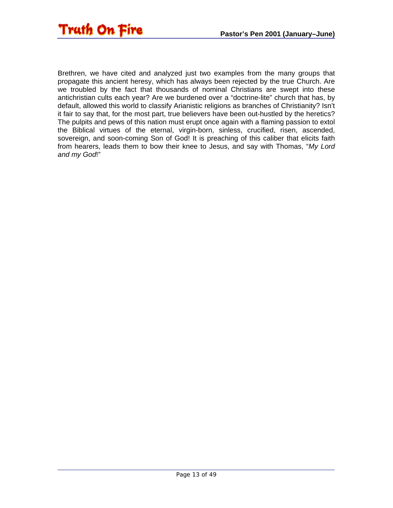

Brethren, we have cited and analyzed just two examples from the many groups that propagate this ancient heresy, which has always been rejected by the true Church. Are we troubled by the fact that thousands of nominal Christians are swept into these antichristian cults each year? Are we burdened over a "doctrine-lite" church that has, by default, allowed this world to classify Arianistic religions as branches of Christianity? Isn't it fair to say that, for the most part, true believers have been out-hustled by the heretics? The pulpits and pews of this nation must erupt once again with a flaming passion to extol the Biblical virtues of the eternal, virgin-born, sinless, crucified, risen, ascended, sovereign, and soon-coming Son of God! It is preaching of this caliber that elicits faith from hearers, leads them to bow their knee to Jesus, and say with Thomas, "*My Lord and my God*!"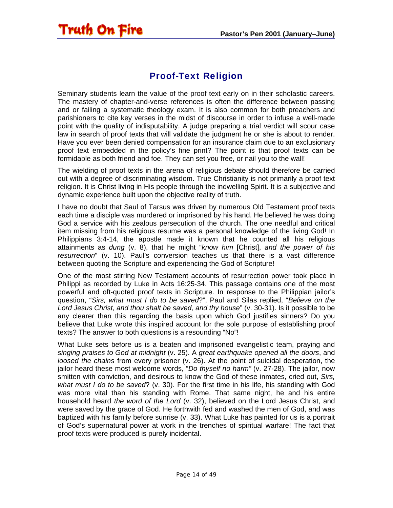<span id="page-13-0"></span>

#### Proof-Text Religion

Seminary students learn the value of the proof text early on in their scholastic careers. The mastery of chapter-and-verse references is often the difference between passing and or failing a systematic theology exam. It is also common for both preachers and parishioners to cite key verses in the midst of discourse in order to infuse a well-made point with the quality of indisputability. A judge preparing a trial verdict will scour case law in search of proof texts that will validate the judgment he or she is about to render. Have you ever been denied compensation for an insurance claim due to an exclusionary proof text embedded in the policy's fine print? The point is that proof texts can be formidable as both friend and foe. They can set you free, or nail you to the wall!

The wielding of proof texts in the arena of religious debate should therefore be carried out with a degree of discriminating wisdom. True Christianity is not primarily a proof text religion. It is Christ living in His people through the indwelling Spirit. It is a subjective and dynamic experience built upon the objective reality of truth.

I have no doubt that Saul of Tarsus was driven by numerous Old Testament proof texts each time a disciple was murdered or imprisoned by his hand. He believed he was doing God a service with his zealous persecution of the church. The one needful and critical item missing from his religious resume was a personal knowledge of the living God! In Philippians 3:4-14, the apostle made it known that he counted all his religious attainments as *dung* (v. 8), that he might "*know him* [Christ], *and the power of his resurrection*" (v. 10). Paul's conversion teaches us that there is a vast difference between quoting the Scripture and experiencing the God of Scripture!

One of the most stirring New Testament accounts of resurrection power took place in Philippi as recorded by Luke in Acts 16:25-34. This passage contains one of the most powerful and oft-quoted proof texts in Scripture. In response to the Philippian jailor's question, "*Sirs, what must I do to be saved*?", Paul and Silas replied, "*Believe on the Lord Jesus Christ, and thou shalt be saved, and thy house*" (v. 30-31). Is it possible to be any clearer than this regarding the basis upon which God justifies sinners? Do you believe that Luke wrote this inspired account for the sole purpose of establishing proof texts? The answer to both questions is a resounding "No"!

What Luke sets before us is a beaten and imprisoned evangelistic team, praying and *singing praises to God at midnight* (v. 25). A *great earthquake opened all the doors*, and *loosed the chains* from every prisoner (v. 26). At the point of suicidal desperation, the jailor heard these most welcome words, "*Do thyself no harm"* (v. 27-28). The jailor, now smitten with conviction, and desirous to know the God of these inmates, cried out, *Sirs, what must I do to be saved*? (v. 30). For the first time in his life, his standing with God was more vital than his standing with Rome. That same night, he and his entire household heard *the word of the Lord* (v. 32), believed on the Lord Jesus Christ, and were saved by the grace of God. He forthwith fed and washed the men of God, and was baptized with his family before sunrise (v. 33). What Luke has painted for us is a portrait of God's supernatural power at work in the trenches of spiritual warfare! The fact that proof texts were produced is purely incidental.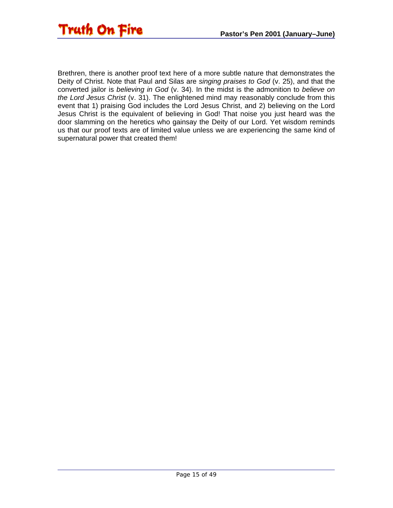

Brethren, there is another proof text here of a more subtle nature that demonstrates the Deity of Christ. Note that Paul and Silas are *singing praises to God* (v. 25), and that the converted jailor is *believing in God* (v. 34). In the midst is the admonition to *believe on the Lord Jesus Christ* (v. 31). The enlightened mind may reasonably conclude from this event that 1) praising God includes the Lord Jesus Christ, and 2) believing on the Lord Jesus Christ is the equivalent of believing in God! That noise you just heard was the door slamming on the heretics who gainsay the Deity of our Lord. Yet wisdom reminds us that our proof texts are of limited value unless we are experiencing the same kind of supernatural power that created them!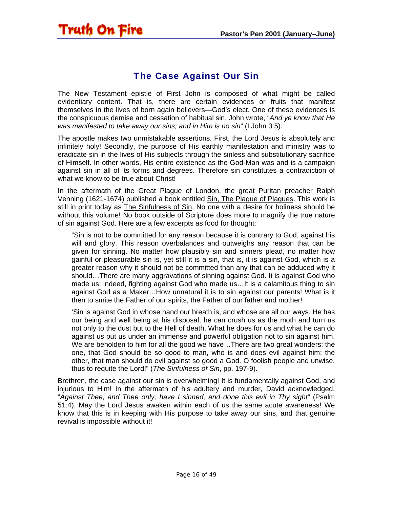<span id="page-15-0"></span>

#### The Case Against Our Sin

The New Testament epistle of First John is composed of what might be called evidentiary content. That is, there are certain evidences or fruits that manifest themselves in the lives of born again believers—God's elect. One of these evidences is the conspicuous demise and cessation of habitual sin. John wrote, "*And ye know that He was manifested to take away our sins; and in Him is no sin*" (I John 3:5).

The apostle makes two unmistakable assertions. First, the Lord Jesus is absolutely and infinitely holy! Secondly, the purpose of His earthly manifestation and ministry was to eradicate sin in the lives of His subjects through the sinless and substitutionary sacrifice of Himself. In other words, His entire existence as the God-Man was and is a campaign against sin in all of its forms and degrees. Therefore sin constitutes a contradiction of what we know to be true about Christ!

In the aftermath of the Great Plague of London, the great Puritan preacher Ralph Venning (1621-1674) published a book entitled Sin, The Plague of Plagues. This work is still in print today as The Sinfulness of Sin. No one with a desire for holiness should be without this volume! No book outside of Scripture does more to magnify the true nature of sin against God. Here are a few excerpts as food for thought:

"Sin is not to be committed for any reason because it is contrary to God, against his will and glory. This reason overbalances and outweighs any reason that can be given for sinning. No matter how plausibly sin and sinners plead, no matter how gainful or pleasurable sin is, yet still it is a sin, that is, it is against God, which is a greater reason why it should not be committed than any that can be adduced why it should…There are many aggravations of sinning against God. It is against God who made us; indeed, fighting against God who made us…It is a calamitous thing to sin against God as a Maker…How unnatural it is to sin against our parents! What is it then to smite the Father of our spirits, the Father of our father and mother!

'Sin is against God in whose hand our breath is, and whose are all our ways. He has our being and well being at his disposal; he can crush us as the moth and turn us not only to the dust but to the Hell of death. What he does for us and what he can do against us put us under an immense and powerful obligation not to sin against him. We are beholden to him for all the good we have...There are two great wonders: the one, that God should be so good to man, who is and does evil against him; the other, that man should do evil against so good a God. O foolish people and unwise, thus to requite the Lord!" (*The Sinfulness of Sin*, pp. 197-9).

Brethren, the case against our sin is overwhelming! It is fundamentally against God, and injurious to Him! In the aftermath of his adultery and murder, David acknowledged, "*Against Thee, and Thee only, have I sinned, and done this evil in Thy sight*" (Psalm 51:4). May the Lord Jesus awaken within each of us the same acute awareness! We know that this is in keeping with His purpose to take away our sins, and that genuine revival is impossible without it!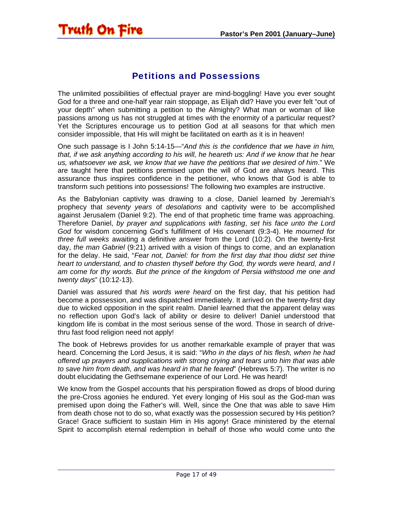# <span id="page-16-0"></span>Truth On Fire

#### Petitions and Possessions

The unlimited possibilities of effectual prayer are mind-boggling! Have you ever sought God for a three and one-half year rain stoppage, as Elijah did? Have you ever felt "out of your depth" when submitting a petition to the Almighty? What man or woman of like passions among us has not struggled at times with the enormity of a particular request? Yet the Scriptures encourage us to petition God at all seasons for that which men consider impossible, that His will might be facilitated on earth as it is in heaven!

One such passage is I John 5:14-15—"*And this is the confidence that we have in him, that, if we ask anything according to his will, he heareth us: And if we know that he hear us, whatsoever we ask, we know that we have the petitions that we desired of him*." We are taught here that petitions premised upon the will of God are always heard. This assurance thus inspires confidence in the petitioner, who knows that God is able to transform such petitions into possessions! The following two examples are instructive.

As the Babylonian captivity was drawing to a close, Daniel learned by Jeremiah's prophecy that *seventy years* of *desolations* and captivity were to be accomplished against Jerusalem (Daniel 9:2). The end of that prophetic time frame was approaching. Therefore Daniel, *by prayer and supplications with fasting*, *set his face unto the Lord God* for wisdom concerning God's fulfillment of His covenant (9:3-4). He *mourned for three full weeks* awaiting a definitive answer from the Lord (10:2). On the twenty-first day, *the man Gabriel* (9:21) arrived with a vision of things to come, and an explanation for the delay. He said, "*Fear not, Daniel: for from the first day that thou didst set thine heart to understand, and to chasten thyself before thy God, thy words were heard, and I am come for thy words. But the prince of the kingdom of Persia withstood me one and twenty days*" (10:12-13).

Daniel was assured that *his words were heard* on the first day, that his petition had become a possession, and was dispatched immediately. It arrived on the twenty-first day due to wicked opposition in the spirit realm. Daniel learned that the apparent delay was no reflection upon God's lack of ability or desire to deliver! Daniel understood that kingdom life is combat in the most serious sense of the word. Those in search of drivethru fast food religion need not apply!

The book of Hebrews provides for us another remarkable example of prayer that was heard. Concerning the Lord Jesus, it is said: "*Who in the days of his flesh, when he had offered up prayers and supplications with strong crying and tears unto him that was able to save him from death, and was heard in that he feared*" (Hebrews 5:7). The writer is no doubt elucidating the Gethsemane experience of our Lord. He was heard!

We know from the Gospel accounts that his perspiration flowed as drops of blood during the pre-Cross agonies he endured. Yet every longing of His soul as the God-man was premised upon doing the Father's will. Well, since the One that was able to save Him from death chose not to do so, what exactly was the possession secured by His petition? Grace! Grace sufficient to sustain Him in His agony! Grace ministered by the eternal Spirit to accomplish eternal redemption in behalf of those who would come unto the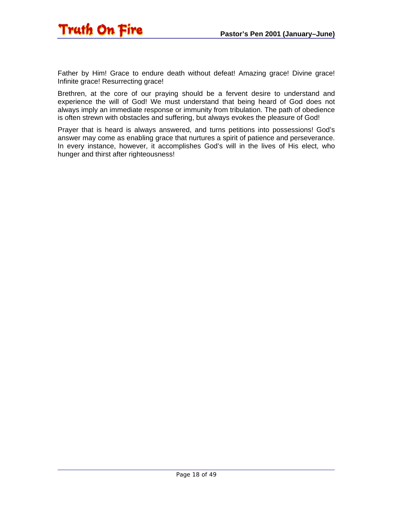

Father by Him! Grace to endure death without defeat! Amazing grace! Divine grace! Infinite grace! Resurrecting grace!

Brethren, at the core of our praying should be a fervent desire to understand and experience the will of God! We must understand that being heard of God does not always imply an immediate response or immunity from tribulation. The path of obedience is often strewn with obstacles and suffering, but always evokes the pleasure of God!

Prayer that is heard is always answered, and turns petitions into possessions! God's answer may come as enabling grace that nurtures a spirit of patience and perseverance. In every instance, however, it accomplishes God's will in the lives of His elect, who hunger and thirst after righteousness!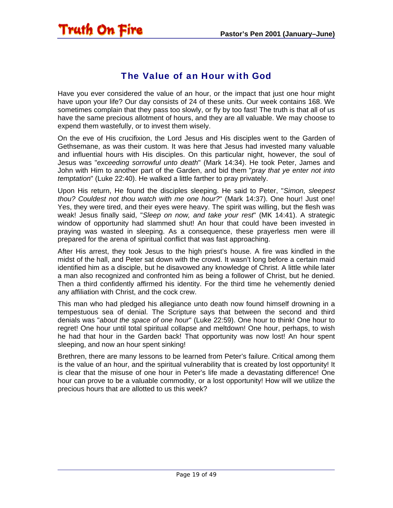#### The Value of an Hour with God

<span id="page-18-0"></span>Have you ever considered the value of an hour, or the impact that just one hour might have upon your life? Our day consists of 24 of these units. Our week contains 168. We sometimes complain that they pass too slowly, or fly by too fast! The truth is that all of us have the same precious allotment of hours, and they are all valuable. We may choose to expend them wastefully, or to invest them wisely.

On the eve of His crucifixion, the Lord Jesus and His disciples went to the Garden of Gethsemane, as was their custom. It was here that Jesus had invested many valuable and influential hours with His disciples. On this particular night, however, the soul of Jesus was "*exceeding sorrowful unto death*" (Mark 14:34). He took Peter, James and John with Him to another part of the Garden, and bid them "*pray that ye enter not into temptation*" (Luke 22:40). He walked a little farther to pray privately.

Upon His return, He found the disciples sleeping. He said to Peter, "*Simon, sleepest thou? Couldest not thou watch with me one hour?*" (Mark 14:37). One hour! Just one! Yes, they were tired, and their eyes were heavy. The spirit was willing, but the flesh was weak! Jesus finally said, "*Sleep on now, and take your rest*" (MK 14:41). A strategic window of opportunity had slammed shut! An hour that could have been invested in praying was wasted in sleeping. As a consequence, these prayerless men were ill prepared for the arena of spiritual conflict that was fast approaching.

After His arrest, they took Jesus to the high priest's house. A fire was kindled in the midst of the hall, and Peter sat down with the crowd. It wasn't long before a certain maid identified him as a disciple, but he disavowed any knowledge of Christ. A little while later a man also recognized and confronted him as being a follower of Christ, but he denied. Then a third confidently affirmed his identity. For the third time he vehemently denied any affiliation with Christ, and the cock crew.

This man who had pledged his allegiance unto death now found himself drowning in a tempestuous sea of denial. The Scripture says that between the second and third denials was "*about the space of one hour*" (Luke 22:59). One hour to think! One hour to regret! One hour until total spiritual collapse and meltdown! One hour, perhaps, to wish he had that hour in the Garden back! That opportunity was now lost! An hour spent sleeping, and now an hour spent sinking!

Brethren, there are many lessons to be learned from Peter's failure. Critical among them is the value of an hour, and the spiritual vulnerability that is created by lost opportunity! It is clear that the misuse of one hour in Peter's life made a devastating difference! One hour can prove to be a valuable commodity, or a lost opportunity! How will we utilize the precious hours that are allotted to us this week?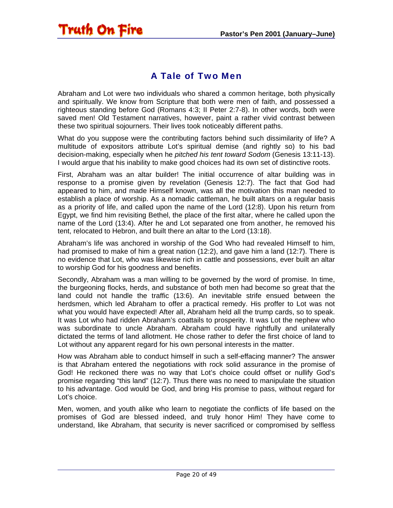<span id="page-19-0"></span>

#### A Tale of Two Men

Abraham and Lot were two individuals who shared a common heritage, both physically and spiritually. We know from Scripture that both were men of faith, and possessed a righteous standing before God (Romans 4:3; II Peter 2:7-8). In other words, both were saved men! Old Testament narratives, however, paint a rather vivid contrast between these two spiritual sojourners. Their lives took noticeably different paths.

What do you suppose were the contributing factors behind such dissimilarity of life? A multitude of expositors attribute Lot's spiritual demise (and rightly so) to his bad decision-making, especially when he *pitched his tent toward Sodom* (Genesis 13:11-13). I would argue that his inability to make good choices had its own set of distinctive roots.

First, Abraham was an altar builder! The initial occurrence of altar building was in response to a promise given by revelation (Genesis 12:7). The fact that God had appeared to him, and made Himself known, was all the motivation this man needed to establish a place of worship. As a nomadic cattleman, he built altars on a regular basis as a priority of life, and called upon the name of the Lord (12:8). Upon his return from Egypt, we find him revisiting Bethel, the place of the first altar, where he called upon the name of the Lord (13:4). After he and Lot separated one from another, he removed his tent, relocated to Hebron, and built there an altar to the Lord (13:18).

Abraham's life was anchored in worship of the God Who had revealed Himself to him, had promised to make of him a great nation (12:2), and gave him a land (12:7). There is no evidence that Lot, who was likewise rich in cattle and possessions, ever built an altar to worship God for his goodness and benefits.

Secondly, Abraham was a man willing to be governed by the word of promise. In time, the burgeoning flocks, herds, and substance of both men had become so great that the land could not handle the traffic (13:6). An inevitable strife ensued between the herdsmen, which led Abraham to offer a practical remedy. His proffer to Lot was not what you would have expected! After all, Abraham held all the trump cards, so to speak. It was Lot who had ridden Abraham's coattails to prosperity. It was Lot the nephew who was subordinate to uncle Abraham. Abraham could have rightfully and unilaterally dictated the terms of land allotment. He chose rather to defer the first choice of land to Lot without any apparent regard for his own personal interests in the matter.

How was Abraham able to conduct himself in such a self-effacing manner? The answer is that Abraham entered the negotiations with rock solid assurance in the promise of God! He reckoned there was no way that Lot's choice could offset or nullify God's promise regarding "this land" (12:7). Thus there was no need to manipulate the situation to his advantage. God would be God, and bring His promise to pass, without regard for Lot's choice.

Men, women, and youth alike who learn to negotiate the conflicts of life based on the promises of God are blessed indeed, and truly honor Him! They have come to understand, like Abraham, that security is never sacrificed or compromised by selfless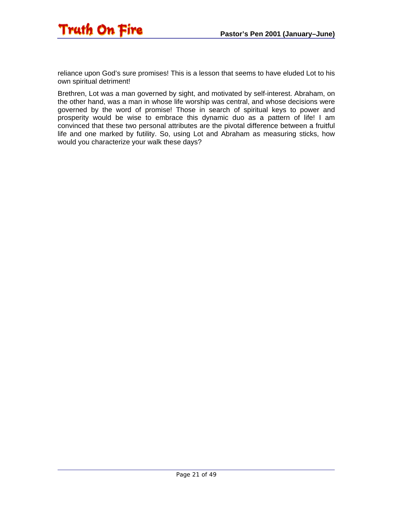

reliance upon God's sure promises! This is a lesson that seems to have eluded Lot to his own spiritual detriment!

Brethren, Lot was a man governed by sight, and motivated by self-interest. Abraham, on the other hand, was a man in whose life worship was central, and whose decisions were governed by the word of promise! Those in search of spiritual keys to power and prosperity would be wise to embrace this dynamic duo as a pattern of life! I am convinced that these two personal attributes are the pivotal difference between a fruitful life and one marked by futility. So, using Lot and Abraham as measuring sticks, how would you characterize your walk these days?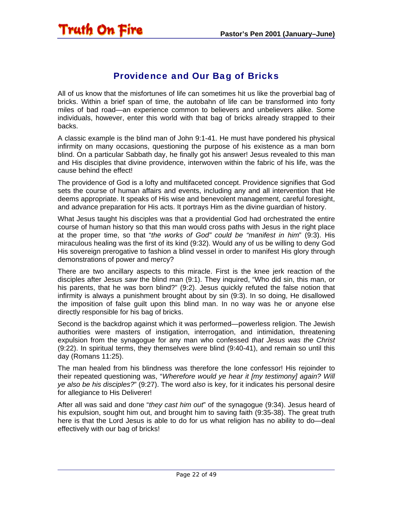#### Providence and Our Bag of Bricks

<span id="page-21-0"></span>All of us know that the misfortunes of life can sometimes hit us like the proverbial bag of bricks. Within a brief span of time, the autobahn of life can be transformed into forty miles of bad road—an experience common to believers and unbelievers alike. Some individuals, however, enter this world with that bag of bricks already strapped to their backs.

A classic example is the blind man of John 9:1-41. He must have pondered his physical infirmity on many occasions, questioning the purpose of his existence as a man born blind. On a particular Sabbath day, he finally got his answer! Jesus revealed to this man and His disciples that divine providence, interwoven within the fabric of his life, was the cause behind the effect!

The providence of God is a lofty and multifaceted concept. Providence signifies that God sets the course of human affairs and events, including any and all intervention that He deems appropriate. It speaks of His wise and benevolent management, careful foresight, and advance preparation for His acts. It portrays Him as the divine guardian of history.

What Jesus taught his disciples was that a providential God had orchestrated the entire course of human history so that this man would cross paths with Jesus in the right place at the proper time, so that "*the works of God" could be "manifest in him*" (9:3). His miraculous healing was the first of its kind (9:32). Would any of us be willing to deny God His sovereign prerogative to fashion a blind vessel in order to manifest His glory through demonstrations of power and mercy?

There are two ancillary aspects to this miracle. First is the knee jerk reaction of the disciples after Jesus *saw* the blind man (9:1). They inquired, "Who did sin, this man, or his parents, that he was born blind?" (9:2). Jesus quickly refuted the false notion that infirmity is always a punishment brought about by sin (9:3). In so doing, He disallowed the imposition of false guilt upon this blind man. In no way was he or anyone else directly responsible for his bag of bricks.

Second is the backdrop against which it was performed—powerless religion. The Jewish authorities were masters of instigation, interrogation, and intimidation, threatening expulsion from the synagogue for any man who confessed *that Jesus was the Christ* (9:22). In spiritual terms, they themselves were blind (9:40-41), and remain so until this day (Romans 11:25).

The man healed from his blindness was therefore the lone confessor! His rejoinder to their repeated questioning was, "*Wherefore would ye hear it [my testimony] again? Will ye also be his disciples?*" (9:27). The word *also* is key, for it indicates his personal desire for allegiance to His Deliverer!

After all was said and done "*they cast him out*" of the synagogue (9:34). Jesus heard of his expulsion, sought him out, and brought him to saving faith (9:35-38). The great truth here is that the Lord Jesus is able to do for us what religion has no ability to do—deal effectively with our bag of bricks!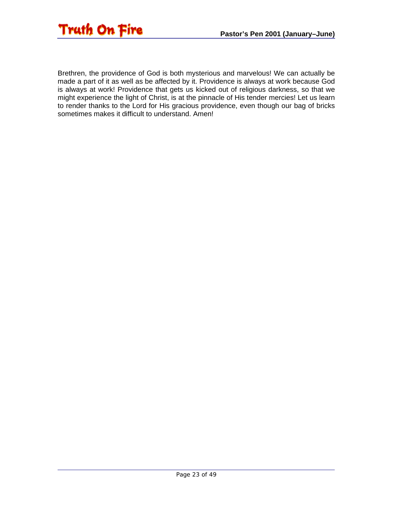

Brethren, the providence of God is both mysterious and marvelous! We can actually be made a part of it as well as be affected by it. Providence is always at work because God is always at work! Providence that gets us kicked out of religious darkness, so that we might experience the light of Christ, is at the pinnacle of His tender mercies! Let us learn to render thanks to the Lord for His gracious providence, even though our bag of bricks sometimes makes it difficult to understand. Amen!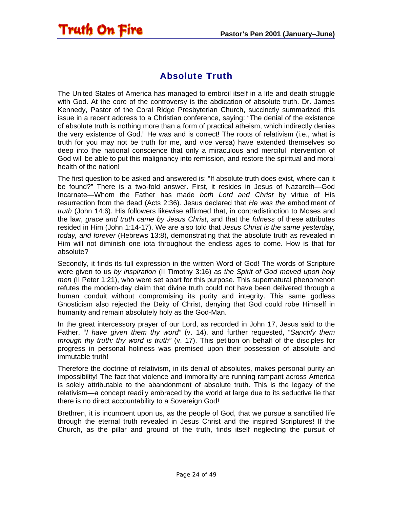<span id="page-23-0"></span>![](_page_23_Picture_1.jpeg)

#### Absolute Truth

The United States of America has managed to embroil itself in a life and death struggle with God. At the core of the controversy is the abdication of absolute truth. Dr. James Kennedy, Pastor of the Coral Ridge Presbyterian Church, succinctly summarized this issue in a recent address to a Christian conference, saying: "The denial of the existence of absolute truth is nothing more than a form of practical atheism, which indirectly denies the very existence of God." He was and is correct! The roots of relativism (i.e., what is truth for you may not be truth for me, and vice versa) have extended themselves so deep into the national conscience that only a miraculous and merciful intervention of God will be able to put this malignancy into remission, and restore the spiritual and moral health of the nation!

The first question to be asked and answered is: "If absolute truth does exist, where can it be found?" There is a two-fold answer. First, it resides in Jesus of Nazareth—God Incarnate—Whom the Father has made *both Lord and Christ* by virtue of His resurrection from the dead (Acts 2:36). Jesus declared that *He was the* embodiment of *truth* (John 14:6). His followers likewise affirmed that, in contradistinction to Moses and the law, *grace and truth came by Jesus Christ*, and that the *fulness* of these attributes resided in Him (John 1:14-17). We are also told that *Jesus Christ is the same yesterday, today, and forever* (Hebrews 13:8), demonstrating that the absolute truth as revealed in Him will not diminish one iota throughout the endless ages to come. How is that for absolute?

Secondly, it finds its full expression in the written Word of God! The words of Scripture were given to us *by inspiration* (II Timothy 3:16) as *the Spirit of God moved upon holy men* (II Peter 1:21), who were set apart for this purpose. This supernatural phenomenon refutes the modern-day claim that divine truth could not have been delivered through a human conduit without compromising its purity and integrity. This same godless Gnosticism also rejected the Deity of Christ, denying that God could robe Himself in humanity and remain absolutely holy as the God-Man.

In the great intercessory prayer of our Lord, as recorded in John 17, Jesus said to the Father, "*I have given them thy word"* (v. 14), and further requested, "*Sanctify them through thy truth: thy word is truth"* (v. 17). This petition on behalf of the disciples for progress in personal holiness was premised upon their possession of absolute and immutable truth!

Therefore the doctrine of relativism, in its denial of absolutes, makes personal purity an impossibility! The fact that violence and immorality are running rampant across America is solely attributable to the abandonment of absolute truth. This is the legacy of the relativism—a concept readily embraced by the world at large due to its seductive lie that there is no direct accountability to a Sovereign God!

Brethren, it is incumbent upon us, as the people of God, that we pursue a sanctified life through the eternal truth revealed in Jesus Christ and the inspired Scriptures! If the Church, as the pillar and ground of the truth, finds itself neglecting the pursuit of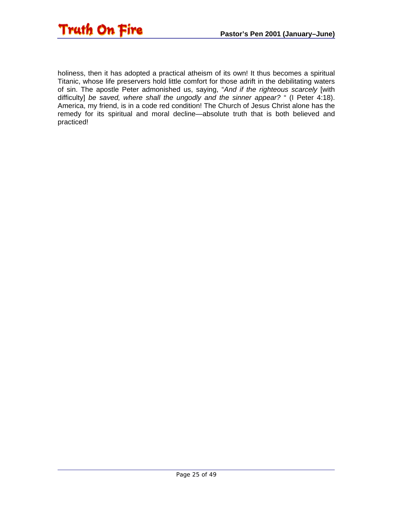![](_page_24_Picture_0.jpeg)

holiness, then it has adopted a practical atheism of its own! It thus becomes a spiritual Titanic, whose life preservers hold little comfort for those adrift in the debilitating waters of sin. The apostle Peter admonished us, saying, "*And if the righteous scarcely* [with difficulty] *be saved, where shall the ungodly and the sinner appear?* " (I Peter 4:18). America, my friend, is in a code red condition! The Church of Jesus Christ alone has the remedy for its spiritual and moral decline—absolute truth that is both believed and practiced!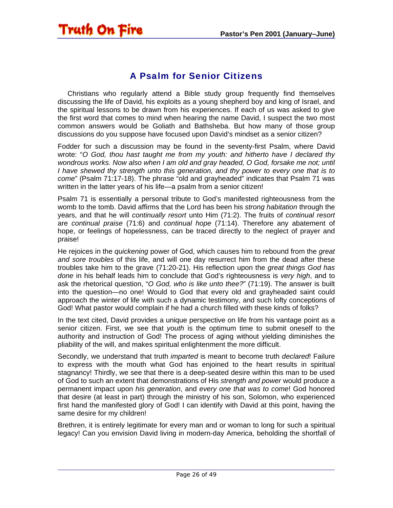<span id="page-25-0"></span>![](_page_25_Picture_1.jpeg)

#### A Psalm for Senior Citizens

 Christians who regularly attend a Bible study group frequently find themselves discussing the life of David, his exploits as a young shepherd boy and king of Israel, and the spiritual lessons to be drawn from his experiences. If each of us was asked to give the first word that comes to mind when hearing the name David, I suspect the two most common answers would be Goliath and Bathsheba. But how many of those group discussions do you suppose have focused upon David's mindset as a senior citizen?

Fodder for such a discussion may be found in the seventy-first Psalm, where David wrote: "*O God, thou hast taught me from my youth: and hitherto have I declared thy wondrous works. Now also when I am old and gray headed, O God, forsake me not; until I have shewed thy strength unto this generation, and thy power to every one that is to come*" (Psalm 71:17-18). The phrase "old and grayheaded" indicates that Psalm 71 was written in the latter years of his life—a psalm from a senior citizen!

Psalm 71 is essentially a personal tribute to God's manifested righteousness from the womb to the tomb. David affirms that the Lord has been his *strong habitation* through the years, and that he will *continually resort* unto Him (71:2). The fruits of *continual resort* are *continual praise* (71:6) and *continual hope* (71:14). Therefore any abatement of hope, or feelings of hopelessness, can be traced directly to the neglect of prayer and praise!

He rejoices in the *quickening* power of God, which causes him to rebound from the *great and sore troubles* of this life, and will one day resurrect him from the dead after these troubles take him to the grave (71:20-21). His reflection upon the *great things God has done* in his behalf leads him to conclude that God's righteousness is *very high*, and to ask the rhetorical question, "*O God, who is like unto thee?*" (71:19). The answer is built into the question—no one! Would to God that every old and grayheaded saint could approach the winter of life with such a dynamic testimony, and such lofty conceptions of God! What pastor would complain if he had a church filled with these kinds of folks?

In the text cited, David provides a unique perspective on life from his vantage point as a senior citizen. First, we see that *youth* is the optimum time to submit oneself to the authority and instruction of God! The process of aging without yielding diminishes the pliability of the will, and makes spiritual enlightenment the more difficult.

Secondly, we understand that truth *imparted* is meant to become truth *declared*! Failure to express with the mouth what God has enjoined to the heart results in spiritual stagnancy! Thirdly, we see that there is a deep-seated desire within this man to be used of God to such an extent that demonstrations of His *strength and power* would produce a permanent impact upon *his generation*, and *every one that was to come*! God honored that desire (at least in part) through the ministry of his son, Solomon, who experienced first hand the manifested glory of God! I can identify with David at this point, having the same desire for my children!

Brethren, it is entirely legitimate for every man and or woman to long for such a spiritual legacy! Can you envision David living in modern-day America, beholding the shortfall of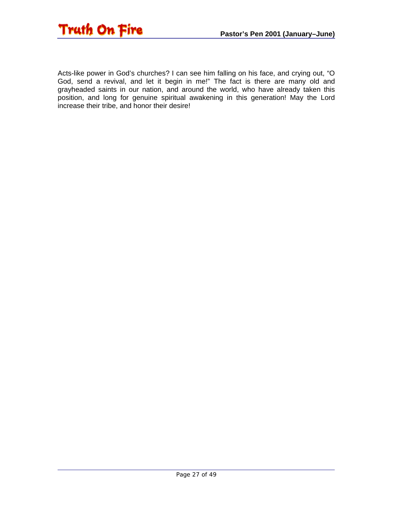![](_page_26_Picture_0.jpeg)

Acts-like power in God's churches? I can see him falling on his face, and crying out, "O God, send a revival, and let it begin in me!" The fact is there are many old and grayheaded saints in our nation, and around the world, who have already taken this position, and long for genuine spiritual awakening in this generation! May the Lord increase their tribe, and honor their desire!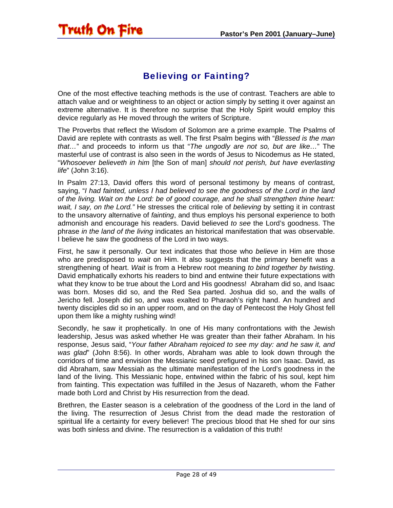#### Believing or Fainting?

<span id="page-27-0"></span>**Truth On Fire** 

One of the most effective teaching methods is the use of contrast. Teachers are able to attach value and or weightiness to an object or action simply by setting it over against an extreme alternative. It is therefore no surprise that the Holy Spirit would employ this device regularly as He moved through the writers of Scripture.

The Proverbs that reflect the Wisdom of Solomon are a prime example. The Psalms of David are replete with contrasts as well. The first Psalm begins with "*Blessed is the man that…*" and proceeds to inform us that "*The ungodly are not so, but are like…*" The masterful use of contrast is also seen in the words of Jesus to Nicodemus as He stated, "*Whosoever believeth in him* [the Son of man] *should not perish, but have everlasting life*" (John 3:16).

In Psalm 27:13, David offers this word of personal testimony by means of contrast, saying, "*I had fainted, unless I had believed to see the goodness of the Lord in the land of the living. Wait on the Lord: be of good courage, and he shall strengthen thine heart: wait, I say, on the Lord."* He stresses the critical role of *believing* by setting it in contrast to the unsavory alternative of *fainting*, and thus employs his personal experience to both admonish and encourage his readers. David believed *to see* the Lord's goodness. The phrase *in the land of the living* indicates an historical manifestation that was observable. I believe he saw the goodness of the Lord in two ways.

First, he saw it personally. Our text indicates that those who *believe* in Him are those who are predisposed to *wait* on Him. It also suggests that the primary benefit was a strengthening of heart. *Wait* is from a Hebrew root meaning *to bind together by twisting*. David emphatically exhorts his readers to bind and entwine their future expectations with what they know to be true about the Lord and His goodness! Abraham did so, and Isaac was born. Moses did so, and the Red Sea parted. Joshua did so, and the walls of Jericho fell. Joseph did so, and was exalted to Pharaoh's right hand. An hundred and twenty disciples did so in an upper room, and on the day of Pentecost the Holy Ghost fell upon them like a mighty rushing wind!

Secondly, he saw it prophetically. In one of His many confrontations with the Jewish leadership, Jesus was asked whether He was greater than their father Abraham. In his response, Jesus said, "*Your father Abraham rejoiced to see my day: and he saw it, and was glad*" (John 8:56). In other words, Abraham was able to look down through the corridors of time and envision the Messianic seed prefigured in his son Isaac. David, as did Abraham, saw Messiah as the ultimate manifestation of the Lord's goodness in the land of the living. This Messianic hope, entwined within the fabric of his soul, kept him from fainting. This expectation was fulfilled in the Jesus of Nazareth, whom the Father made both Lord and Christ by His resurrection from the dead.

Brethren, the Easter season is a celebration of the goodness of the Lord in the land of the living. The resurrection of Jesus Christ from the dead made the restoration of spiritual life a certainty for every believer! The precious blood that He shed for our sins was both sinless and divine. The resurrection is a validation of this truth!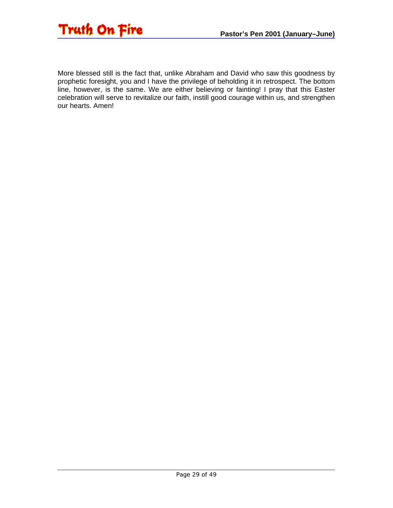![](_page_28_Picture_1.jpeg)

More blessed still is the fact that, unlike Abraham and David who saw this goodness by prophetic foresight, you and I have the privilege of beholding it in retrospect. The bottom line, however, is the same. We are either believing or fainting! I pray that this Easter celebration will serve to revitalize our faith, instill good courage within us, and strengthen our hearts. Amen!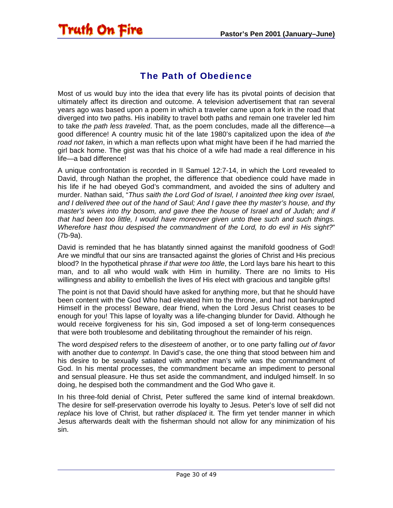#### The Path of Obedience

<span id="page-29-0"></span>Truth On Fire

Most of us would buy into the idea that every life has its pivotal points of decision that ultimately affect its direction and outcome. A television advertisement that ran several years ago was based upon a poem in which a traveler came upon a fork in the road that diverged into two paths. His inability to travel both paths and remain one traveler led him to take *the path less traveled*. That, as the poem concludes, made all the difference—a good difference! A country music hit of the late 1980's capitalized upon the idea of *the road not taken*, in which a man reflects upon what might have been if he had married the girl back home. The gist was that his choice of a wife had made a real difference in his life—a bad difference!

A unique confrontation is recorded in II Samuel 12:7-14, in which the Lord revealed to David, through Nathan the prophet, the difference that obedience could have made in his life if he had obeyed God's commandment, and avoided the sins of adultery and murder. Nathan said, "*Thus saith the Lord God of Israel, I anointed thee king over Israel, and I delivered thee out of the hand of Saul; And I gave thee thy master's house, and thy master's wives into thy bosom, and gave thee the house of Israel and of Judah; and if that had been too little, I would have moreover given unto thee such and such things. Wherefore hast thou despised the commandment of the Lord, to do evil in His sight?*" (7b-9a).

David is reminded that he has blatantly sinned against the manifold goodness of God! Are we mindful that our sins are transacted against the glories of Christ and His precious blood? In the hypothetical phrase *if that were too little*, the Lord lays bare his heart to this man, and to all who would walk with Him in humility. There are no limits to His willingness and ability to embellish the lives of His elect with gracious and tangible gifts!

The point is not that David should have asked for anything more, but that he should have been content with the God Who had elevated him to the throne, and had not bankrupted Himself in the process! Beware, dear friend, when the Lord Jesus Christ ceases to be enough for you! This lapse of loyalty was a life-changing blunder for David. Although he would receive forgiveness for his sin, God imposed a set of long-term consequences that were both troublesome and debilitating throughout the remainder of his reign.

The word *despised* refers to the *disesteem* of another, or to one party falling *out of favor* with another due to *contempt*. In David's case, the one thing that stood between him and his desire to be sexually satiated with another man's wife was the commandment of God. In his mental processes, the commandment became an impediment to personal and sensual pleasure. He thus set aside the commandment, and indulged himself. In so doing, he despised both the commandment and the God Who gave it.

In his three-fold denial of Christ, Peter suffered the same kind of internal breakdown. The desire for self-preservation overrode his loyalty to Jesus. Peter's love of self did not *replace* his love of Christ, but rather *displaced* it. The firm yet tender manner in which Jesus afterwards dealt with the fisherman should not allow for any minimization of his sin.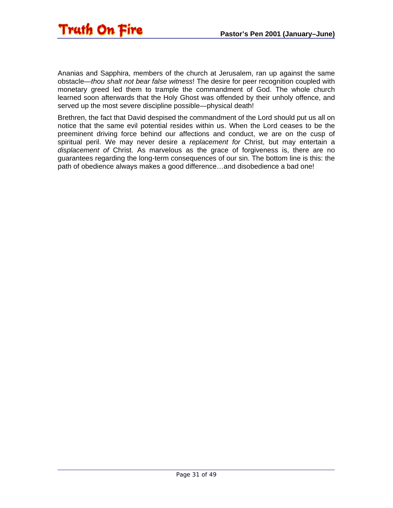![](_page_30_Picture_1.jpeg)

Ananias and Sapphira, members of the church at Jerusalem, ran up against the same obstacle—*thou shalt not bear false witness*! The desire for peer recognition coupled with monetary greed led them to trample the commandment of God. The whole church learned soon afterwards that the Holy Ghost was offended by their unholy offence, and served up the most severe discipline possible—physical death!

Brethren, the fact that David despised the commandment of the Lord should put us all on notice that the same evil potential resides within us. When the Lord ceases to be the preeminent driving force behind our affections and conduct, we are on the cusp of spiritual peril. We may never desire a *replacement for* Christ, but may entertain a *displacement of* Christ. As marvelous as the grace of forgiveness is, there are no guarantees regarding the long-term consequences of our sin. The bottom line is this: the path of obedience always makes a good difference…and disobedience a bad one!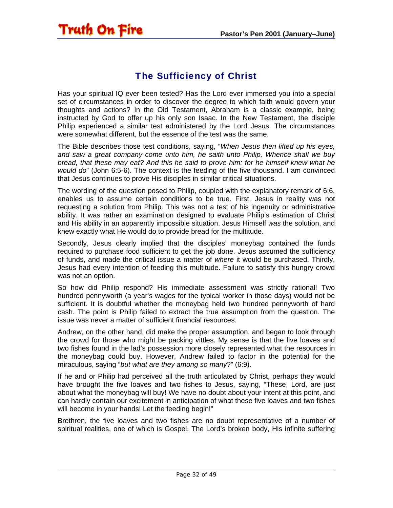<span id="page-31-0"></span>![](_page_31_Picture_1.jpeg)

#### The Sufficiency of Christ

Has your spiritual IQ ever been tested? Has the Lord ever immersed you into a special set of circumstances in order to discover the degree to which faith would govern your thoughts and actions? In the Old Testament, Abraham is a classic example, being instructed by God to offer up his only son Isaac. In the New Testament, the disciple Philip experienced a similar test administered by the Lord Jesus. The circumstances were somewhat different, but the essence of the test was the same.

The Bible describes those test conditions, saying, "*When Jesus then lifted up his eyes, and saw a great company come unto him, he saith unto Philip, Whence shall we buy bread, that these may eat? And this he said to prove him: for he himself knew what he would do*" (John 6:5-6). The context is the feeding of the five thousand. I am convinced that Jesus continues to prove His disciples in similar critical situations.

The wording of the question posed to Philip, coupled with the explanatory remark of 6:6, enables us to assume certain conditions to be true. First, Jesus in reality was not requesting a solution from Philip. This was not a test of his ingenuity or administrative ability. It was rather an examination designed to evaluate Philip's estimation of Christ and His ability in an apparently impossible situation. Jesus Himself *was* the solution, and knew exactly what He would do to provide bread for the multitude.

Secondly, Jesus clearly implied that the disciples' moneybag contained the funds required to purchase food sufficient to get the job done. Jesus assumed the sufficiency of funds, and made the critical issue a matter of *where* it would be purchased. Thirdly, Jesus had every intention of feeding this multitude. Failure to satisfy this hungry crowd was not an option.

So how did Philip respond? His immediate assessment was strictly rational! Two hundred pennyworth (a year's wages for the typical worker in those days) would not be sufficient. It is doubtful whether the moneybag held two hundred pennyworth of hard cash. The point is Philip failed to extract the true assumption from the question. The issue was never a matter of sufficient financial resources.

Andrew, on the other hand, did make the proper assumption, and began to look through the crowd for those who might be packing vittles. My sense is that the five loaves and two fishes found in the lad's possession more closely represented what the resources in the moneybag could buy. However, Andrew failed to factor in the potential for the miraculous, saying "*but what are they among so many*?" (6:9).

If he and or Philip had perceived all the truth articulated by Christ, perhaps they would have brought the five loaves and two fishes to Jesus, saying, "These, Lord, are just about what the moneybag will buy! We have no doubt about your intent at this point, and can hardly contain our excitement in anticipation of what these five loaves and two fishes will become in your hands! Let the feeding begin!"

Brethren, the five loaves and two fishes are no doubt representative of a number of spiritual realities, one of which is Gospel. The Lord's broken body, His infinite suffering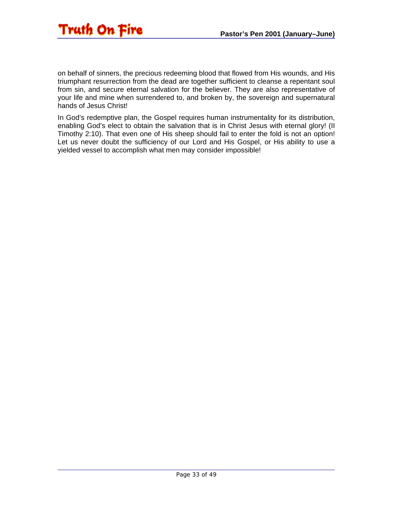![](_page_32_Picture_1.jpeg)

on behalf of sinners, the precious redeeming blood that flowed from His wounds, and His triumphant resurrection from the dead are together sufficient to cleanse a repentant soul from sin, and secure eternal salvation for the believer. They are also representative of your life and mine when surrendered to, and broken by, the sovereign and supernatural hands of Jesus Christ!

In God's redemptive plan, the Gospel requires human instrumentality for its distribution, enabling God's elect to obtain the salvation that is in Christ Jesus with eternal glory! (II Timothy 2:10). That even one of His sheep should fail to enter the fold is not an option! Let us never doubt the sufficiency of our Lord and His Gospel, or His ability to use a yielded vessel to accomplish what men may consider impossible!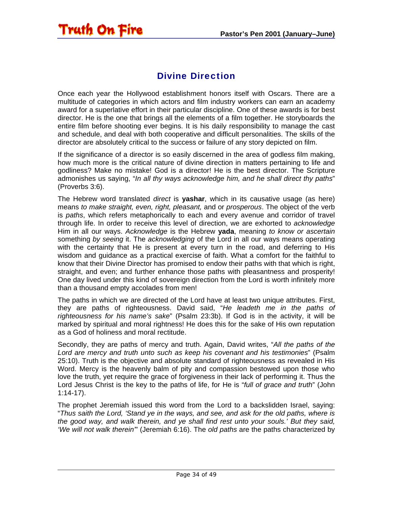#### Divine Direction

<span id="page-33-0"></span>Once each year the Hollywood establishment honors itself with Oscars. There are a multitude of categories in which actors and film industry workers can earn an academy award for a superlative effort in their particular discipline. One of these awards is for best director. He is the one that brings all the elements of a film together. He storyboards the entire film before shooting ever begins. It is his daily responsibility to manage the cast and schedule, and deal with both cooperative and difficult personalities. The skills of the director are absolutely critical to the success or failure of any story depicted on film.

If the significance of a director is so easily discerned in the area of godless film making, how much more is the critical nature of divine direction in matters pertaining to life and godliness? Make no mistake! God is a director! He is the best director. The Scripture admonishes us saying, "*In all thy ways acknowledge him, and he shall direct thy paths*" (Proverbs 3:6).

The Hebrew word translated *direct* is **yashar**, which in its causative usage (as here) means *to make straight, even, right, pleasant,* and or *prosperous*. The object of the verb is *paths*, which refers metaphorically to each and every avenue and corridor of travel through life. In order to receive this level of direction, we are exhorted to *acknowledge* Him in all our ways. *Acknowledge* is the Hebrew **yada**, meaning *to know or ascertain*  something *by seeing* it. The *acknowledging* of the Lord in all our ways means operating with the certainty that He is present at every turn in the road, and deferring to His wisdom and guidance as a practical exercise of faith. What a comfort for the faithful to know that their Divine Director has promised to endow their paths with that which is right, straight, and even; and further enhance those paths with pleasantness and prosperity! One day lived under this kind of sovereign direction from the Lord is worth infinitely more than a thousand empty accolades from men!

The paths in which we are directed of the Lord have at least two unique attributes. First, they are paths of righteousness. David said, "*He leadeth me in the paths of righteousness for his name's sake*" (Psalm 23:3b). If God is in the activity, it will be marked by spiritual and moral rightness! He does this for the sake of His own reputation as a God of holiness and moral rectitude.

Secondly, they are paths of mercy and truth. Again, David writes, "*All the paths of the Lord are mercy and truth unto such as keep his covenant and his testimonies*" (Psalm 25:10). Truth is the objective and absolute standard of righteousness as revealed in His Word. Mercy is the heavenly balm of pity and compassion bestowed upon those who love the truth, yet require the grace of forgiveness in their lack of performing it. Thus the Lord Jesus Christ is the key to the paths of life, for He is "*full of grace and truth*" (John 1:14-17).

The prophet Jeremiah issued this word from the Lord to a backslidden Israel, saying: "*Thus saith the Lord, 'Stand ye in the ways, and see, and ask for the old paths, where is the good way, and walk therein, and ye shall find rest unto your souls.' But they said, 'We will not walk therein'*" (Jeremiah 6:16). The *old paths* are the paths characterized by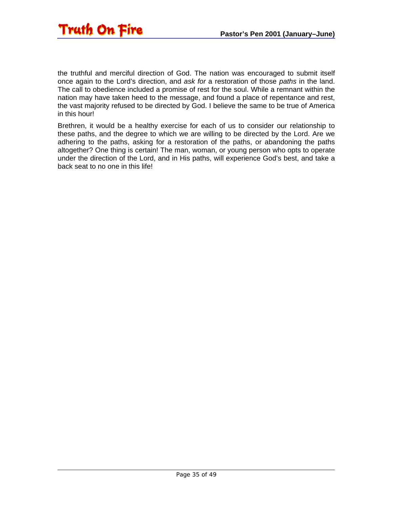![](_page_34_Picture_0.jpeg)

the truthful and merciful direction of God. The nation was encouraged to submit itself once again to the Lord's direction, and *ask for* a restoration of those *paths* in the land. The call to obedience included a promise of rest for the soul. While a remnant within the nation may have taken heed to the message, and found a place of repentance and rest, the vast majority refused to be directed by God. I believe the same to be true of America in this hour!

Brethren, it would be a healthy exercise for each of us to consider our relationship to these paths, and the degree to which we are willing to be directed by the Lord. Are we adhering to the paths, asking for a restoration of the paths, or abandoning the paths altogether? One thing is certain! The man, woman, or young person who opts to operate under the direction of the Lord, and in His paths, will experience God's best, and take a back seat to no one in this life!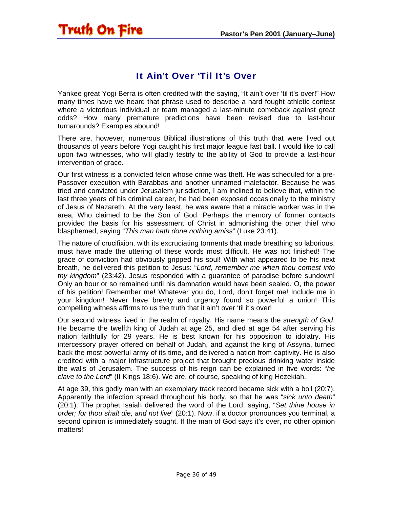## <span id="page-35-0"></span>Truth On Fire

#### It Ain't Over 'Til It's Over

Yankee great Yogi Berra is often credited with the saying, "It ain't over 'til it's over!" How many times have we heard that phrase used to describe a hard fought athletic contest where a victorious individual or team managed a last-minute comeback against great odds? How many premature predictions have been revised due to last-hour turnarounds? Examples abound!

There are, however, numerous Biblical illustrations of this truth that were lived out thousands of years before Yogi caught his first major league fast ball. I would like to call upon two witnesses, who will gladly testify to the ability of God to provide a last-hour intervention of grace.

Our first witness is a convicted felon whose crime was theft. He was scheduled for a pre-Passover execution with Barabbas and another unnamed malefactor. Because he was tried and convicted under Jerusalem jurisdiction, I am inclined to believe that, within the last three years of his criminal career, he had been exposed occasionally to the ministry of Jesus of Nazareth. At the very least, he was aware that a miracle worker was in the area, Who claimed to be the Son of God. Perhaps the memory of former contacts provided the basis for his assessment of Christ in admonishing the other thief who blasphemed, saying "*This man hath done nothing amiss*" (Luke 23:41).

The nature of crucifixion, with its excruciating torments that made breathing so laborious, must have made the uttering of these words most difficult. He was not finished! The grace of conviction had obviously gripped his soul! With what appeared to be his next breath, he delivered this petition to Jesus: "*Lord, remember me when thou comest into thy kingdom*" (23:42). Jesus responded with a guarantee of paradise before sundown! Only an hour or so remained until his damnation would have been sealed. O, the power of his petition! Remember me! Whatever you do, Lord, don't forget me! Include me in your kingdom! Never have brevity and urgency found so powerful a union! This compelling witness affirms to us the truth that it ain't over 'til it's over!

Our second witness lived in the realm of royalty. His name means the *strength of God*. He became the twelfth king of Judah at age 25, and died at age 54 after serving his nation faithfully for 29 years. He is best known for his opposition to idolatry. His intercessory prayer offered on behalf of Judah, and against the king of Assyria, turned back the most powerful army of its time, and delivered a nation from captivity. He is also credited with a major infrastructure project that brought precious drinking water inside the walls of Jerusalem. The success of his reign can be explained in five words: "*he clave to the Lord*" (II Kings 18:6). We are, of course, speaking of king Hezekiah.

At age 39, this godly man with an exemplary track record became sick with a boil (20:7). Apparently the infection spread throughout his body, so that he was "*sick unto death*" (20:1). The prophet Isaiah delivered the word of the Lord, saying, "*Set thine house in order; for thou shalt die, and not live*" (20:1). Now, if a doctor pronounces you terminal, a second opinion is immediately sought. If the man of God says it's over, no other opinion matters!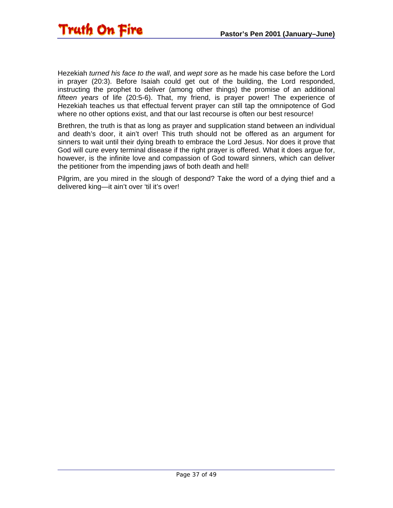![](_page_36_Picture_1.jpeg)

Hezekiah *turned his face to the wall*, and *wept sore* as he made his case before the Lord in prayer (20:3). Before Isaiah could get out of the building, the Lord responded, instructing the prophet to deliver (among other things) the promise of an additional *fifteen years* of life (20:5-6). That, my friend, is prayer power! The experience of Hezekiah teaches us that effectual fervent prayer can still tap the omnipotence of God where no other options exist, and that our last recourse is often our best resource!

Brethren, the truth is that as long as prayer and supplication stand between an individual and death's door, it ain't over! This truth should not be offered as an argument for sinners to wait until their dying breath to embrace the Lord Jesus. Nor does it prove that God will cure every terminal disease if the right prayer is offered. What it does argue for, however, is the infinite love and compassion of God toward sinners, which can deliver the petitioner from the impending jaws of both death and hell!

Pilgrim, are you mired in the slough of despond? Take the word of a dying thief and a delivered king—it ain't over 'til it's over!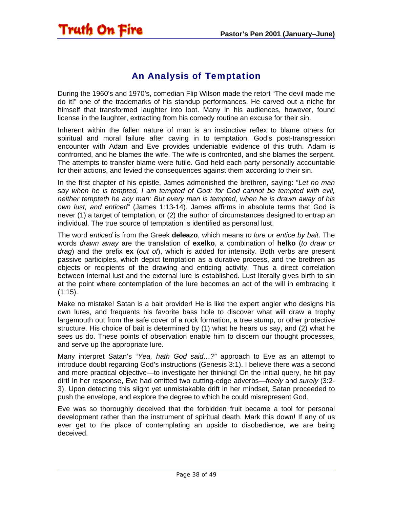<span id="page-37-0"></span>![](_page_37_Picture_1.jpeg)

#### An Analysis of Temptation

During the 1960's and 1970's, comedian Flip Wilson made the retort "The devil made me do it!" one of the trademarks of his standup performances. He carved out a niche for himself that transformed laughter into loot. Many in his audiences, however, found license in the laughter, extracting from his comedy routine an excuse for their sin.

Inherent within the fallen nature of man is an instinctive reflex to blame others for spiritual and moral failure after caving in to temptation. God's post-transgression encounter with Adam and Eve provides undeniable evidence of this truth. Adam is confronted, and he blames the wife. The wife is confronted, and she blames the serpent. The attempts to transfer blame were futile. God held each party personally accountable for their actions, and levied the consequences against them according to their sin.

In the first chapter of his epistle, James admonished the brethren, saying: "*Let no man say when he is tempted, I am tempted of God: for God cannot be tempted with evil, neither tempteth he any man: But every man is tempted, when he is drawn away of his own lust, and enticed*" (James 1:13-14). James affirms in absolute terms that God is never (1) a target of temptation, or (2) the author of circumstances designed to entrap an individual. The true source of temptation is identified as personal lust.

The word *enticed* is from the Greek **deleazo**, which means *to lure or entice by bait*. The words *drawn away* are the translation of **exelko**, a combination of **helko** (*to draw or drag*) and the prefix **ex** (*out of*), which is added for intensity. Both verbs are present passive participles, which depict temptation as a durative process, and the brethren as objects or recipients of the drawing and enticing activity. Thus a direct correlation between internal lust and the external lure is established. Lust literally gives birth to sin at the point where contemplation of the lure becomes an act of the will in embracing it  $(1:15)$ .

Make no mistake! Satan is a bait provider! He is like the expert angler who designs his own lures, and frequents his favorite bass hole to discover what will draw a trophy largemouth out from the safe cover of a rock formation, a tree stump, or other protective structure. His choice of bait is determined by (1) what he hears us say, and (2) what he sees us do. These points of observation enable him to discern our thought processes, and serve up the appropriate lure.

Many interpret Satan's "*Yea, hath God said…?*" approach to Eve as an attempt to introduce doubt regarding God's instructions (Genesis 3:1). I believe there was a second and more practical objective—to investigate her thinking! On the initial query, he hit pay dirt! In her response, Eve had omitted two cutting-edge adverbs—*freely* and *surely* (3:2- 3). Upon detecting this slight yet unmistakable drift in her mindset, Satan proceeded to push the envelope, and explore the degree to which he could misrepresent God.

Eve was so thoroughly deceived that the forbidden fruit became a tool for personal development rather than the instrument of spiritual death. Mark this down! If any of us ever get to the place of contemplating an upside to disobedience, we are being deceived.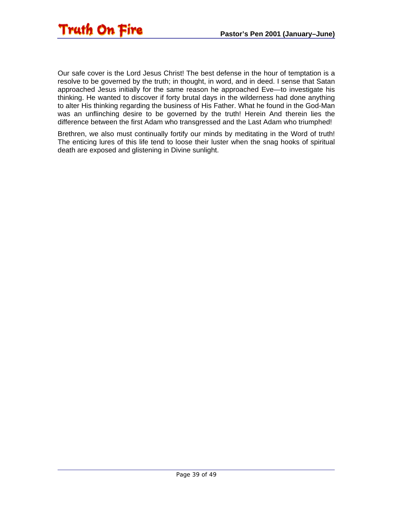![](_page_38_Picture_1.jpeg)

Our safe cover is the Lord Jesus Christ! The best defense in the hour of temptation is a resolve to be governed by the truth; in thought, in word, and in deed. I sense that Satan approached Jesus initially for the same reason he approached Eve—to investigate his thinking. He wanted to discover if forty brutal days in the wilderness had done anything to alter His thinking regarding the business of His Father. What he found in the God-Man was an unflinching desire to be governed by the truth! Herein And therein lies the difference between the first Adam who transgressed and the Last Adam who triumphed!

Brethren, we also must continually fortify our minds by meditating in the Word of truth! The enticing lures of this life tend to loose their luster when the snag hooks of spiritual death are exposed and glistening in Divine sunlight.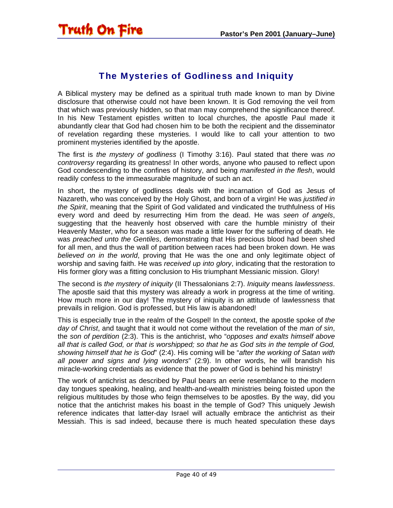#### The Mysteries of Godliness and Iniquity

<span id="page-39-0"></span>A Biblical mystery may be defined as a spiritual truth made known to man by Divine disclosure that otherwise could not have been known. It is God removing the veil from that which was previously hidden, so that man may comprehend the significance thereof. In his New Testament epistles written to local churches, the apostle Paul made it abundantly clear that God had chosen him to be both the recipient and the disseminator of revelation regarding these mysteries. I would like to call your attention to two prominent mysteries identified by the apostle.

The first is *the mystery of godliness* (I Timothy 3:16). Paul stated that there was *no controversy* regarding its greatness! In other words, anyone who paused to reflect upon God condescending to the confines of history, and being *manifested in the flesh*, would readily confess to the immeasurable magnitude of such an act.

In short, the mystery of godliness deals with the incarnation of God as Jesus of Nazareth, who was conceived by the Holy Ghost, and born of a virgin! He was *justified in the Spirit*, meaning that the Spirit of God validated and vindicated the truthfulness of His every word and deed by resurrecting Him from the dead. He was *seen of angels*, suggesting that the heavenly host observed with care the humble ministry of their Heavenly Master, who for a season was made a little lower for the suffering of death. He was *preached unto the Gentiles*, demonstrating that His precious blood had been shed for all men, and thus the wall of partition between races had been broken down. He was *believed on in the world*, proving that He was the one and only legitimate object of worship and saving faith. He was *received up into glory*, indicating that the restoration to His former glory was a fitting conclusion to His triumphant Messianic mission. Glory!

The second is *the mystery of iniquity* (II Thessalonians 2:7). *Iniquity* means *lawlessness*. The apostle said that this mystery was already a work in progress at the time of writing. How much more in our day! The mystery of iniquity is an attitude of lawlessness that prevails in religion. God is professed, but His law is abandoned!

This is especially true in the realm of the Gospel! In the context, the apostle spoke of *the day of Christ*, and taught that it would not come without the revelation of the *man of sin*, the *son of perdition* (2:3). This is the antichrist, who "*opposes and exalts himself above all that is called God, or that is worshipped; so that he as God sits in the temple of God, showing himself that he is God*" (2:4). His coming will be "*after the working of Satan with all power and signs and lying wonders*" (2:9). In other words, he will brandish his miracle-working credentials as evidence that the power of God is behind his ministry!

The work of antichrist as described by Paul bears an eerie resemblance to the modern day tongues speaking, healing, and health-and-wealth ministries being foisted upon the religious multitudes by those who feign themselves to be apostles. By the way, did you notice that the antichrist makes his boast in the temple of God? This uniquely Jewish reference indicates that latter-day Israel will actually embrace the antichrist as their Messiah. This is sad indeed, because there is much heated speculation these days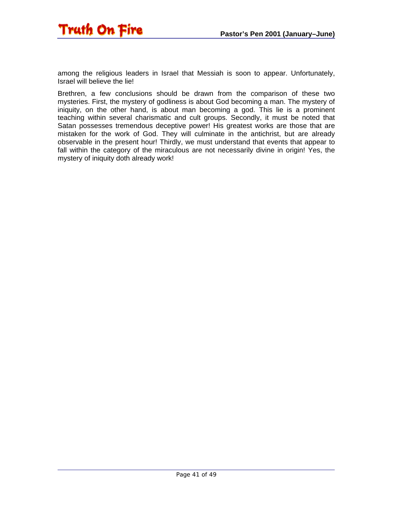![](_page_40_Picture_1.jpeg)

among the religious leaders in Israel that Messiah is soon to appear. Unfortunately, Israel will believe the lie!

Brethren, a few conclusions should be drawn from the comparison of these two mysteries. First, the mystery of godliness is about God becoming a man. The mystery of iniquity, on the other hand, is about man becoming a god. This lie is a prominent teaching within several charismatic and cult groups. Secondly, it must be noted that Satan possesses tremendous deceptive power! His greatest works are those that are mistaken for the work of God. They will culminate in the antichrist, but are already observable in the present hour! Thirdly, we must understand that events that appear to fall within the category of the miraculous are not necessarily divine in origin! Yes, the mystery of iniquity doth already work!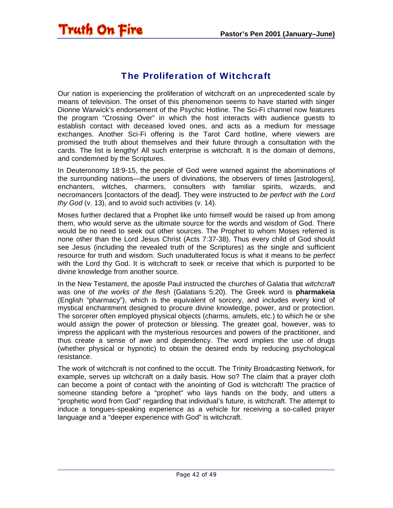#### The Proliferation of Witchcraft

<span id="page-41-0"></span>Our nation is experiencing the proliferation of witchcraft on an unprecedented scale by means of television. The onset of this phenomenon seems to have started with singer Dionne Warwick's endorsement of the Psychic Hotline. The Sci-Fi channel now features the program "Crossing Over" in which the host interacts with audience guests to establish contact with deceased loved ones, and acts as a medium for message exchanges. Another Sci-Fi offering is the Tarot Card hotline, where viewers are promised the truth about themselves and their future through a consultation with the cards. The list is lengthy! All such enterprise is witchcraft. It is the domain of demons, and condemned by the Scriptures.

In Deuteronomy 18:9-15, the people of God were warned against the abominations of the surrounding nations—the users of divinations, the observers of times [astrologers], enchanters, witches, charmers, consulters with familiar spirits, wizards, and necromancers [contactors of the dead]. They were instructed to *be perfect with the Lord thy God* (v. 13), and to avoid such activities (v. 14).

Moses further declared that a Prophet like unto himself would be raised up from among them, who would serve as the ultimate source for the words and wisdom of God. There would be no need to seek out other sources. The Prophet to whom Moses referred is none other than the Lord Jesus Christ (Acts 7:37-38). Thus every child of God should see Jesus (including the revealed truth of the Scriptures) as the single and sufficient resource for truth and wisdom. Such unadulterated focus is what it means to be *perfect*  with the Lord thy God. It is witchcraft to seek or receive that which is purported to be divine knowledge from another source.

In the New Testament, the apostle Paul instructed the churches of Galatia that *witchcraft*  was one of *the works of the flesh* (Galatians 5:20). The Greek word is **pharmakeia** (English "pharmacy"), which is the equivalent of sorcery, and includes every kind of mystical enchantment designed to procure divine knowledge, power, and or protection. The sorcerer often employed physical objects (charms, amulets, etc.) to which he or she would assign the power of protection or blessing. The greater goal, however, was to impress the applicant with the mysterious resources and powers of the practitioner, and thus create a sense of awe and dependency. The word implies the use of drugs (whether physical or hypnotic) to obtain the desired ends by reducing psychological resistance.

The work of witchcraft is not confined to the occult. The Trinity Broadcasting Network, for example, serves up witchcraft on a daily basis. How so? The claim that a prayer cloth can become a point of contact with the anointing of God is witchcraft! The practice of someone standing before a "prophet" who lays hands on the body, and utters a "prophetic word from God" regarding that individual's future, is witchcraft. The attempt to induce a tongues-speaking experience as a vehicle for receiving a so-called prayer language and a "deeper experience with God" is witchcraft.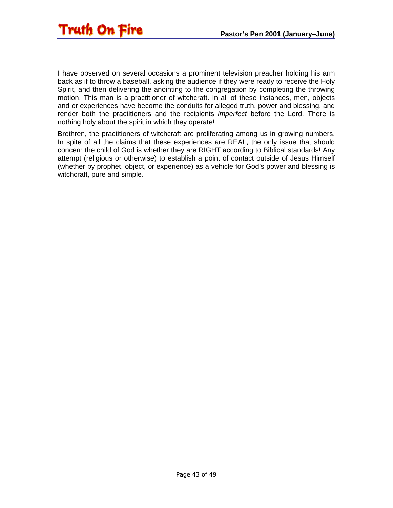![](_page_42_Picture_1.jpeg)

I have observed on several occasions a prominent television preacher holding his arm back as if to throw a baseball, asking the audience if they were ready to receive the Holy Spirit, and then delivering the anointing to the congregation by completing the throwing motion. This man is a practitioner of witchcraft. In all of these instances, men, objects and or experiences have become the conduits for alleged truth, power and blessing, and render both the practitioners and the recipients *imperfect* before the Lord. There is nothing holy about the spirit in which they operate!

Brethren, the practitioners of witchcraft are proliferating among us in growing numbers. In spite of all the claims that these experiences are REAL, the only issue that should concern the child of God is whether they are RIGHT according to Biblical standards! Any attempt (religious or otherwise) to establish a point of contact outside of Jesus Himself (whether by prophet, object, or experience) as a vehicle for God's power and blessing is witchcraft, pure and simple.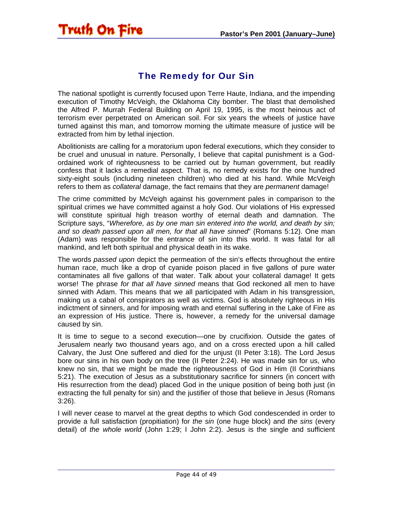<span id="page-43-0"></span>![](_page_43_Picture_1.jpeg)

#### The Remedy for Our Sin

The national spotlight is currently focused upon Terre Haute, Indiana, and the impending execution of Timothy McVeigh, the Oklahoma City bomber. The blast that demolished the Alfred P. Murrah Federal Building on April 19, 1995, is the most heinous act of terrorism ever perpetrated on American soil. For six years the wheels of justice have turned against this man, and tomorrow morning the ultimate measure of justice will be extracted from him by lethal injection.

Abolitionists are calling for a moratorium upon federal executions, which they consider to be cruel and unusual in nature. Personally, I believe that capital punishment is a Godordained work of righteousness to be carried out by human government, but readily confess that it lacks a remedial aspect. That is, no remedy exists for the one hundred sixty-eight souls (including nineteen children) who died at his hand. While McVeigh refers to them as *collateral* damage, the fact remains that they are *permanent* damage!

The crime committed by McVeigh against his government pales in comparison to the spiritual crimes we have committed against a holy God. Our violations of His expressed will constitute spiritual high treason worthy of eternal death and damnation. The Scripture says, "*Wherefore, as by one man sin entered into the world, and death by sin; and so death passed upon all men, for that all have sinned*" (Romans 5:12). One man (Adam) was responsible for the entrance of sin into this world. It was fatal for all mankind, and left both spiritual and physical death in its wake.

The words *passed upon* depict the permeation of the sin's effects throughout the entire human race, much like a drop of cyanide poison placed in five gallons of pure water contaminates all five gallons of that water. Talk about your collateral damage! It gets worse! The phrase *for that all have sinned* means that God reckoned all men to have sinned with Adam. This means that we all participated with Adam in his transgression, making us a cabal of conspirators as well as victims. God is absolutely righteous in His indictment of sinners, and for imposing wrath and eternal suffering in the Lake of Fire as an expression of His justice. There is, however, a remedy for the universal damage caused by sin.

It is time to segue to a second execution—one by crucifixion. Outside the gates of Jerusalem nearly two thousand years ago, and on a cross erected upon a hill called Calvary, the Just One suffered and died for the unjust (II Peter 3:18). The Lord Jesus bore our sins in his own body on the tree (II Peter 2:24). He was made sin for us, who knew no sin, that we might be made the righteousness of God in Him (II Corinthians 5:21). The execution of Jesus as a substitutionary sacrifice for sinners (in concert with His resurrection from the dead) placed God in the unique position of being both just (in extracting the full penalty for sin) and the justifier of those that believe in Jesus (Romans 3:26).

I will never cease to marvel at the great depths to which God condescended in order to provide a full satisfaction (propitiation) for *the sin* (one huge block) and *the sins* (every detail) of *the whole world* (John 1:29; I John 2:2). Jesus is the single and sufficient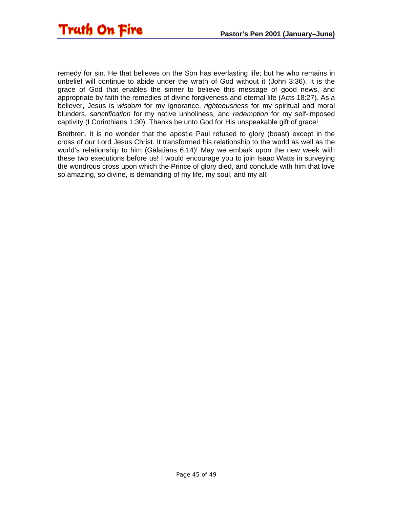remedy for sin. He that believes on the Son has everlasting life; but he who remains in unbelief will continue to abide under the wrath of God without it (John 3:36). It is the grace of God that enables the sinner to believe this message of good news, and appropriate by faith the remedies of divine forgiveness and eternal life (Acts 18:27). As a believer, Jesus is *wisdom* for my ignorance, *righteousness* for my spiritual and moral blunders, *sanctification* for my native unholiness, and *redemption* for my self-imposed captivity (I Corinthians 1:30). Thanks be unto God for His unspeakable gift of grace!

Brethren, it is no wonder that the apostle Paul refused to glory (boast) except in the cross of our Lord Jesus Christ. It transformed his relationship to the world as well as the world's relationship to him (Galatians 6:14)! May we embark upon the new week with these two executions before us! I would encourage you to join Isaac Watts in surveying the wondrous cross upon which the Prince of glory died, and conclude with him that love so amazing, so divine, is demanding of my life, my soul, and my all!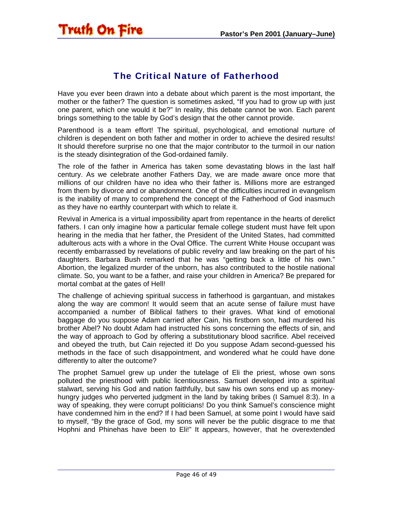#### The Critical Nature of Fatherhood

<span id="page-45-0"></span>Have you ever been drawn into a debate about which parent is the most important, the mother or the father? The question is sometimes asked, "If you had to grow up with just one parent, which one would it be?" In reality, this debate cannot be won. Each parent brings something to the table by God's design that the other cannot provide.

Parenthood is a team effort! The spiritual, psychological, and emotional nurture of children is dependent on both father and mother in order to achieve the desired results! It should therefore surprise no one that the major contributor to the turmoil in our nation is the steady disintegration of the God-ordained family.

The role of the father in America has taken some devastating blows in the last half century. As we celebrate another Fathers Day, we are made aware once more that millions of our children have no idea who their father is. Millions more are estranged from them by divorce and or abandonment. One of the difficulties incurred in evangelism is the inability of many to comprehend the concept of the Fatherhood of God inasmuch as they have no earthly counterpart with which to relate it.

Revival in America is a virtual impossibility apart from repentance in the hearts of derelict fathers. I can only imagine how a particular female college student must have felt upon hearing in the media that her father, the President of the United States, had committed adulterous acts with a whore in the Oval Office. The current White House occupant was recently embarrassed by revelations of public revelry and law breaking on the part of his daughters. Barbara Bush remarked that he was "getting back a little of his own." Abortion, the legalized murder of the unborn, has also contributed to the hostile national climate. So, you want to be a father, and raise your children in America? Be prepared for mortal combat at the gates of Hell!

The challenge of achieving spiritual success in fatherhood is gargantuan, and mistakes along the way are common! It would seem that an acute sense of failure must have accompanied a number of Biblical fathers to their graves. What kind of emotional baggage do you suppose Adam carried after Cain, his firstborn son, had murdered his brother Abel? No doubt Adam had instructed his sons concerning the effects of sin, and the way of approach to God by offering a substitutionary blood sacrifice. Abel received and obeyed the truth, but Cain rejected it! Do you suppose Adam second-guessed his methods in the face of such disappointment, and wondered what he could have done differently to alter the outcome?

The prophet Samuel grew up under the tutelage of Eli the priest, whose own sons polluted the priesthood with public licentiousness. Samuel developed into a spiritual stalwart, serving his God and nation faithfully, but saw his own sons end up as moneyhungry judges who perverted judgment in the land by taking bribes (I Samuel 8:3). In a way of speaking, they were corrupt politicians! Do you think Samuel's conscience might have condemned him in the end? If I had been Samuel, at some point I would have said to myself, "By the grace of God, my sons will never be the public disgrace to me that Hophni and Phinehas have been to Eli!" It appears, however, that he overextended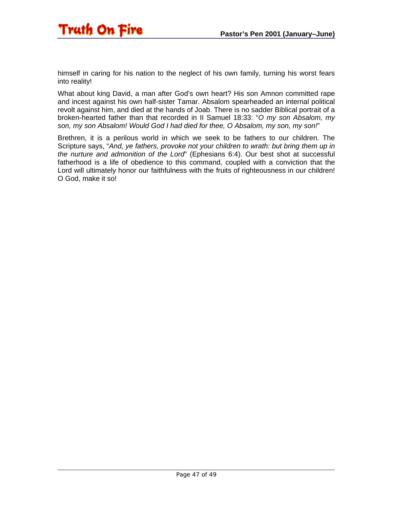![](_page_46_Picture_1.jpeg)

himself in caring for his nation to the neglect of his own family, turning his worst fears into reality!

What about king David, a man after God's own heart? His son Amnon committed rape and incest against his own half-sister Tamar. Absalom spearheaded an internal political revolt against him, and died at the hands of Joab. There is no sadder Biblical portrait of a broken-hearted father than that recorded in II Samuel 18:33: "*O my son Absalom, my son, my son Absalom! Would God I had died for thee, O Absalom, my son, my son!*"

Brethren, it is a perilous world in which we seek to be fathers to our children. The Scripture says, "*And, ye fathers, provoke not your children to wrath: but bring them up in the nurture and admonition of the Lord*" (Ephesians 6:4). Our best shot at successful fatherhood is a life of obedience to this command, coupled with a conviction that the Lord will ultimately honor our faithfulness with the fruits of righteousness in our children! O God, make it so!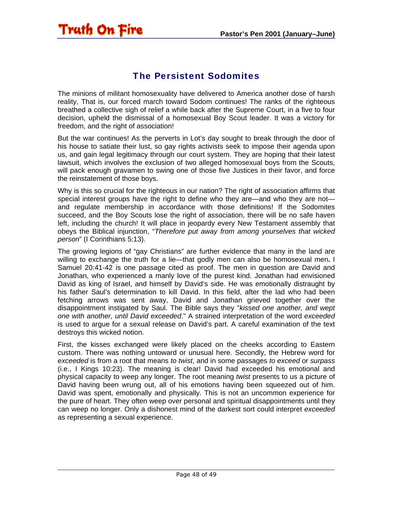# <span id="page-47-0"></span>Truth On Fire

#### The Persistent Sodomites

The minions of militant homosexuality have delivered to America another dose of harsh reality, That is, our forced march toward Sodom continues! The ranks of the righteous breathed a collective sigh of relief a while back after the Supreme Court, in a five to four decision, upheld the dismissal of a homosexual Boy Scout leader. It was a victory for freedom, and the right of association!

But the war continues! As the perverts in Lot's day sought to break through the door of his house to satiate their lust, so gay rights activists seek to impose their agenda upon us, and gain legal legitimacy through our court system. They are hoping that their latest lawsuit, which involves the exclusion of two alleged homosexual boys from the Scouts, will pack enough gravamen to swing one of those five Justices in their favor, and force the reinstatement of those boys.

Why is this so crucial for the righteous in our nation? The right of association affirms that special interest groups have the right to define who they are—and who they are not and regulate membership in accordance with those definitions! If the Sodomites succeed, and the Boy Scouts lose the right of association, there will be no safe haven left, including the church! It will place in jeopardy every New Testament assembly that obeys the Biblical injunction, "*Therefore put away from among yourselves that wicked person*" (I Corinthians 5:13).

The growing legions of "gay Christians" are further evidence that many in the land are willing to exchange the truth for a lie—that godly men can also be homosexual men**.** I Samuel 20:41-42 is one passage cited as proof. The men in question are David and Jonathan, who experienced a manly love of the purest kind. Jonathan had envisioned David as king of Israel, and himself by David's side. He was emotionally distraught by his father Saul's determination to kill David. In this field, after the lad who had been fetching arrows was sent away, David and Jonathan grieved together over the disappointment instigated by Saul. The Bible says they "*kissed one another, and wept one with another, until David exceeded*." A strained interpretation of the word *exceeded*  is used to argue for a sexual release on David's part. A careful examination of the text destroys this wicked notion.

First, the kisses exchanged were likely placed on the cheeks according to Eastern custom. There was nothing untoward or unusual here. Secondly, the Hebrew word for *exceeded* is from a root that means *to twist*, and in some passages *to exceed* or *surpass* (i.e., I Kings 10:23). The meaning is clear! David had exceeded his emotional and physical capacity to weep any longer. The root meaning *twist* presents to us a picture of David having been wrung out, all of his emotions having been squeezed out of him. David was spent, emotionally and physically. This is not an uncommon experience for the pure of heart. They often weep over personal and spiritual disappointments until they can weep no longer. Only a dishonest mind of the darkest sort could interpret *exceeded* as representing a sexual experience.